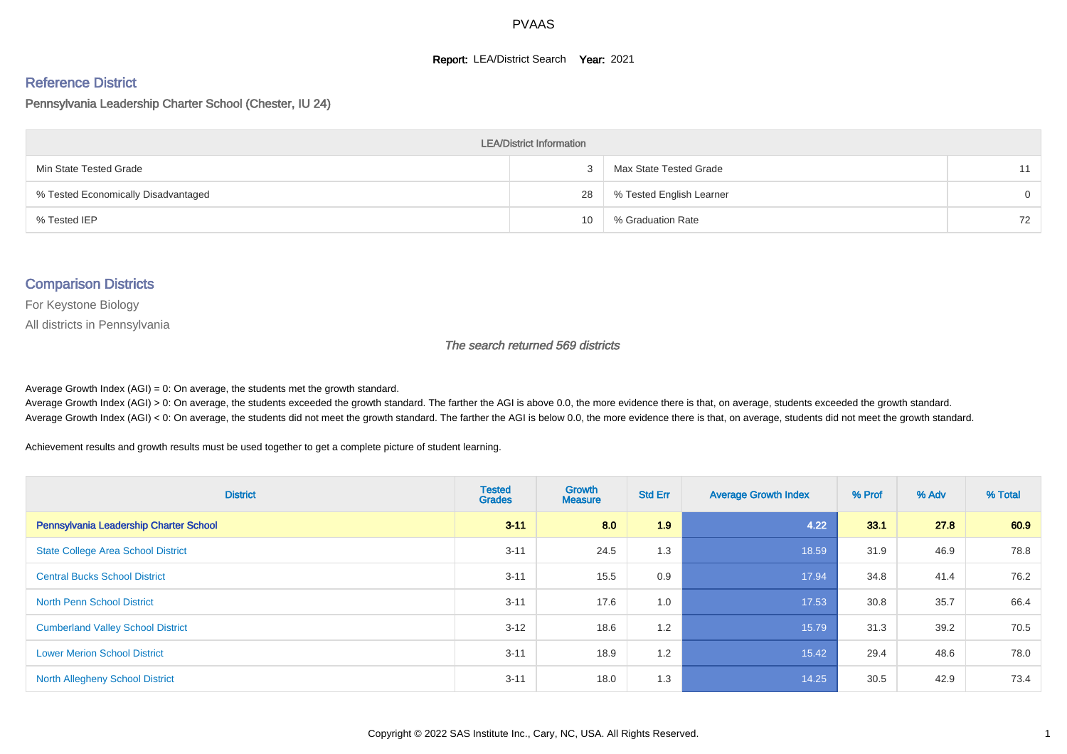#### **Report: LEA/District Search Year: 2021**

#### Reference District

#### Pennsylvania Leadership Charter School (Chester, IU 24)

| <b>LEA/District Information</b>     |    |                          |          |  |  |  |  |  |  |
|-------------------------------------|----|--------------------------|----------|--|--|--|--|--|--|
| Min State Tested Grade              |    | Max State Tested Grade   | 11       |  |  |  |  |  |  |
| % Tested Economically Disadvantaged | 28 | % Tested English Learner | $\Omega$ |  |  |  |  |  |  |
| % Tested IEP                        | 10 | % Graduation Rate        | 72       |  |  |  |  |  |  |

#### Comparison Districts

For Keystone Biology

All districts in Pennsylvania

The search returned 569 districts

Average Growth Index  $(AGI) = 0$ : On average, the students met the growth standard.

Average Growth Index (AGI) > 0: On average, the students exceeded the growth standard. The farther the AGI is above 0.0, the more evidence there is that, on average, students exceeded the growth standard. Average Growth Index (AGI) < 0: On average, the students did not meet the growth standard. The farther the AGI is below 0.0, the more evidence there is that, on average, students did not meet the growth standard.

Achievement results and growth results must be used together to get a complete picture of student learning.

| <b>District</b>                           | <b>Tested</b><br><b>Grades</b> | <b>Growth</b><br><b>Measure</b> | <b>Std Err</b> | <b>Average Growth Index</b> | % Prof | % Adv | % Total |
|-------------------------------------------|--------------------------------|---------------------------------|----------------|-----------------------------|--------|-------|---------|
| Pennsylvania Leadership Charter School    | $3 - 11$                       | 8.0                             | 1.9            | 4.22                        | 33.1   | 27.8  | 60.9    |
| <b>State College Area School District</b> | $3 - 11$                       | 24.5                            | 1.3            | 18.59                       | 31.9   | 46.9  | 78.8    |
| <b>Central Bucks School District</b>      | $3 - 11$                       | 15.5                            | 0.9            | 17.94                       | 34.8   | 41.4  | 76.2    |
| <b>North Penn School District</b>         | $3 - 11$                       | 17.6                            | 1.0            | 17.53                       | 30.8   | 35.7  | 66.4    |
| <b>Cumberland Valley School District</b>  | $3 - 12$                       | 18.6                            | 1.2            | 15.79                       | 31.3   | 39.2  | 70.5    |
| <b>Lower Merion School District</b>       | $3 - 11$                       | 18.9                            | 1.2            | 15.42                       | 29.4   | 48.6  | 78.0    |
| North Allegheny School District           | $3 - 11$                       | 18.0                            | 1.3            | 14.25                       | 30.5   | 42.9  | 73.4    |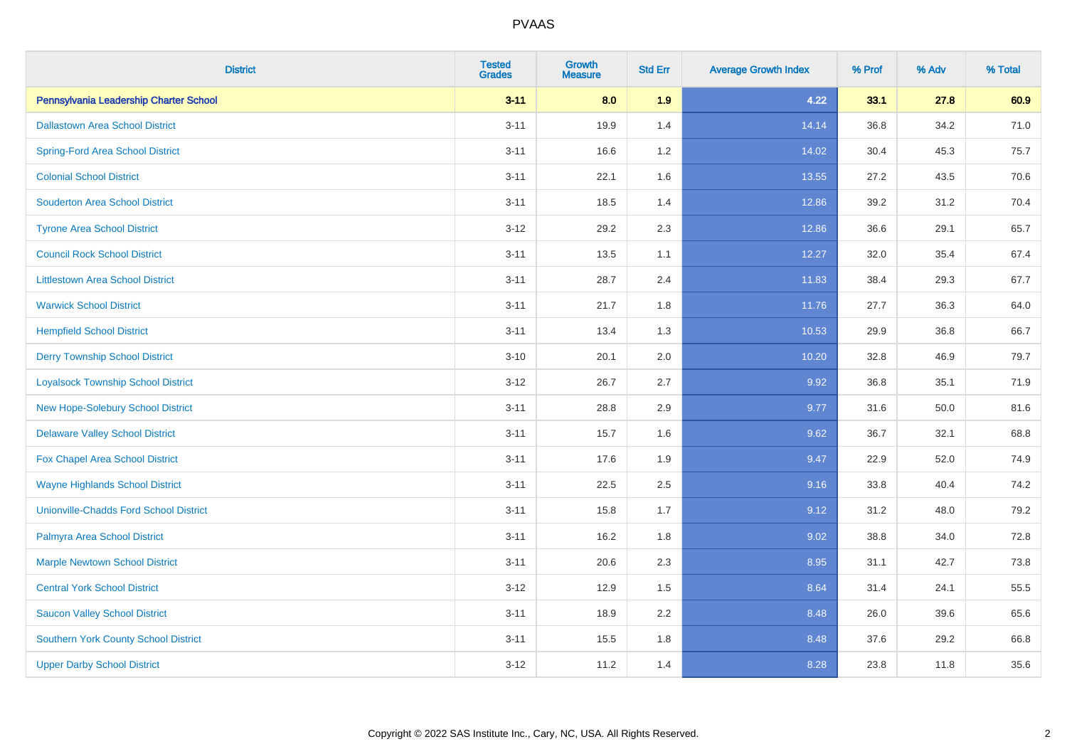| <b>District</b>                               | <b>Tested</b><br><b>Grades</b> | <b>Growth</b><br><b>Measure</b> | <b>Std Err</b> | <b>Average Growth Index</b> | % Prof | % Adv | % Total |
|-----------------------------------------------|--------------------------------|---------------------------------|----------------|-----------------------------|--------|-------|---------|
| Pennsylvania Leadership Charter School        | $3 - 11$                       | 8.0                             | 1.9            | 4.22                        | 33.1   | 27.8  | 60.9    |
| <b>Dallastown Area School District</b>        | $3 - 11$                       | 19.9                            | 1.4            | 14.14                       | 36.8   | 34.2  | 71.0    |
| <b>Spring-Ford Area School District</b>       | $3 - 11$                       | 16.6                            | 1.2            | 14.02                       | 30.4   | 45.3  | 75.7    |
| <b>Colonial School District</b>               | $3 - 11$                       | 22.1                            | 1.6            | 13.55                       | 27.2   | 43.5  | 70.6    |
| <b>Souderton Area School District</b>         | $3 - 11$                       | 18.5                            | 1.4            | 12.86                       | 39.2   | 31.2  | 70.4    |
| <b>Tyrone Area School District</b>            | $3 - 12$                       | 29.2                            | 2.3            | 12.86                       | 36.6   | 29.1  | 65.7    |
| <b>Council Rock School District</b>           | $3 - 11$                       | 13.5                            | 1.1            | 12.27                       | 32.0   | 35.4  | 67.4    |
| <b>Littlestown Area School District</b>       | $3 - 11$                       | 28.7                            | 2.4            | 11.83                       | 38.4   | 29.3  | 67.7    |
| <b>Warwick School District</b>                | $3 - 11$                       | 21.7                            | 1.8            | 11.76                       | 27.7   | 36.3  | 64.0    |
| <b>Hempfield School District</b>              | $3 - 11$                       | 13.4                            | 1.3            | 10.53                       | 29.9   | 36.8  | 66.7    |
| <b>Derry Township School District</b>         | $3 - 10$                       | 20.1                            | 2.0            | 10.20                       | 32.8   | 46.9  | 79.7    |
| <b>Loyalsock Township School District</b>     | $3-12$                         | 26.7                            | 2.7            | 9.92                        | 36.8   | 35.1  | 71.9    |
| New Hope-Solebury School District             | $3 - 11$                       | 28.8                            | 2.9            | 9.77                        | 31.6   | 50.0  | 81.6    |
| <b>Delaware Valley School District</b>        | $3 - 11$                       | 15.7                            | 1.6            | 9.62                        | 36.7   | 32.1  | 68.8    |
| Fox Chapel Area School District               | $3 - 11$                       | 17.6                            | 1.9            | 9.47                        | 22.9   | 52.0  | 74.9    |
| <b>Wayne Highlands School District</b>        | $3 - 11$                       | 22.5                            | 2.5            | 9.16                        | 33.8   | 40.4  | 74.2    |
| <b>Unionville-Chadds Ford School District</b> | $3 - 11$                       | 15.8                            | 1.7            | 9.12                        | 31.2   | 48.0  | 79.2    |
| Palmyra Area School District                  | $3 - 11$                       | 16.2                            | 1.8            | 9.02                        | 38.8   | 34.0  | 72.8    |
| <b>Marple Newtown School District</b>         | $3 - 11$                       | 20.6                            | 2.3            | 8.95                        | 31.1   | 42.7  | 73.8    |
| <b>Central York School District</b>           | $3 - 12$                       | 12.9                            | 1.5            | 8.64                        | 31.4   | 24.1  | 55.5    |
| <b>Saucon Valley School District</b>          | $3 - 11$                       | 18.9                            | 2.2            | 8.48                        | 26.0   | 39.6  | 65.6    |
| <b>Southern York County School District</b>   | $3 - 11$                       | 15.5                            | 1.8            | 8.48                        | 37.6   | 29.2  | 66.8    |
| <b>Upper Darby School District</b>            | $3 - 12$                       | 11.2                            | 1.4            | 8.28                        | 23.8   | 11.8  | 35.6    |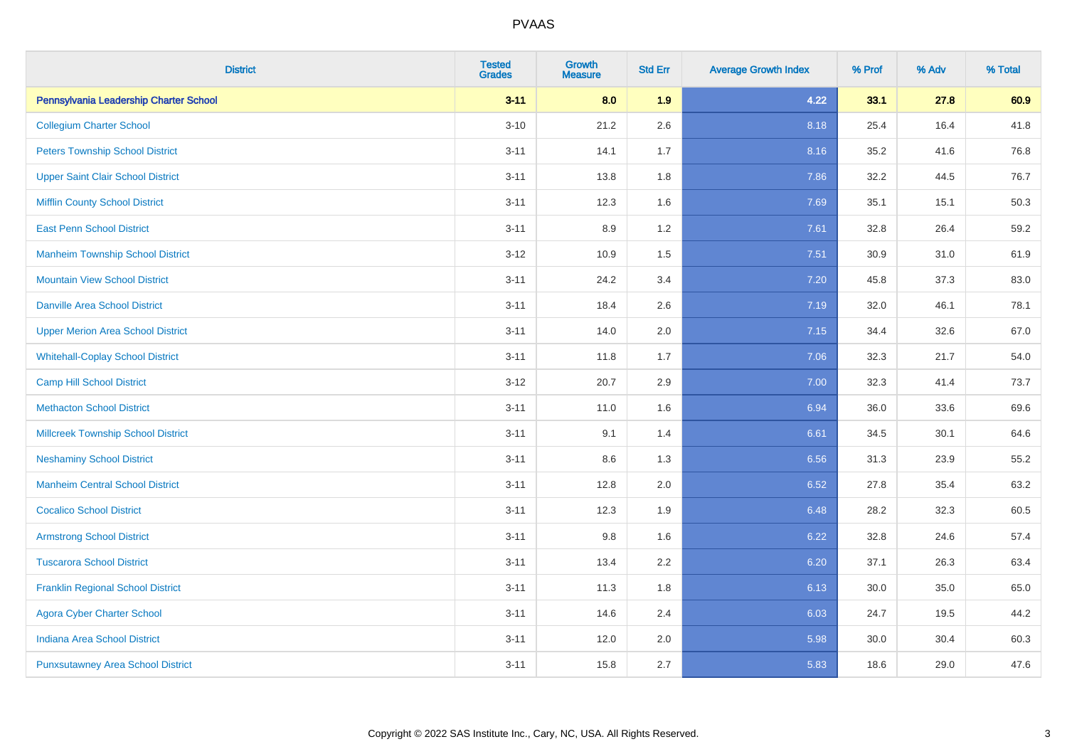| <b>District</b>                           | <b>Tested</b><br><b>Grades</b> | <b>Growth</b><br><b>Measure</b> | <b>Std Err</b> | <b>Average Growth Index</b> | % Prof | % Adv | % Total |
|-------------------------------------------|--------------------------------|---------------------------------|----------------|-----------------------------|--------|-------|---------|
| Pennsylvania Leadership Charter School    | $3 - 11$                       | 8.0                             | 1.9            | 4.22                        | 33.1   | 27.8  | 60.9    |
| <b>Collegium Charter School</b>           | $3 - 10$                       | 21.2                            | 2.6            | 8.18                        | 25.4   | 16.4  | 41.8    |
| <b>Peters Township School District</b>    | $3 - 11$                       | 14.1                            | 1.7            | 8.16                        | 35.2   | 41.6  | 76.8    |
| <b>Upper Saint Clair School District</b>  | $3 - 11$                       | 13.8                            | 1.8            | 7.86                        | 32.2   | 44.5  | 76.7    |
| <b>Mifflin County School District</b>     | $3 - 11$                       | 12.3                            | 1.6            | 7.69                        | 35.1   | 15.1  | 50.3    |
| <b>East Penn School District</b>          | $3 - 11$                       | 8.9                             | 1.2            | 7.61                        | 32.8   | 26.4  | 59.2    |
| <b>Manheim Township School District</b>   | $3-12$                         | 10.9                            | 1.5            | 7.51                        | 30.9   | 31.0  | 61.9    |
| <b>Mountain View School District</b>      | $3 - 11$                       | 24.2                            | 3.4            | 7.20                        | 45.8   | 37.3  | 83.0    |
| <b>Danville Area School District</b>      | $3 - 11$                       | 18.4                            | 2.6            | 7.19                        | 32.0   | 46.1  | 78.1    |
| <b>Upper Merion Area School District</b>  | $3 - 11$                       | 14.0                            | 2.0            | 7.15                        | 34.4   | 32.6  | 67.0    |
| <b>Whitehall-Coplay School District</b>   | $3 - 11$                       | 11.8                            | 1.7            | 7.06                        | 32.3   | 21.7  | 54.0    |
| <b>Camp Hill School District</b>          | $3 - 12$                       | 20.7                            | 2.9            | 7.00                        | 32.3   | 41.4  | 73.7    |
| <b>Methacton School District</b>          | $3 - 11$                       | 11.0                            | 1.6            | 6.94                        | 36.0   | 33.6  | 69.6    |
| <b>Millcreek Township School District</b> | $3 - 11$                       | 9.1                             | 1.4            | 6.61                        | 34.5   | 30.1  | 64.6    |
| <b>Neshaminy School District</b>          | $3 - 11$                       | 8.6                             | 1.3            | 6.56                        | 31.3   | 23.9  | 55.2    |
| <b>Manheim Central School District</b>    | $3 - 11$                       | 12.8                            | 2.0            | 6.52                        | 27.8   | 35.4  | 63.2    |
| <b>Cocalico School District</b>           | $3 - 11$                       | 12.3                            | 1.9            | 6.48                        | 28.2   | 32.3  | 60.5    |
| <b>Armstrong School District</b>          | $3 - 11$                       | 9.8                             | 1.6            | 6.22                        | 32.8   | 24.6  | 57.4    |
| <b>Tuscarora School District</b>          | $3 - 11$                       | 13.4                            | 2.2            | 6.20                        | 37.1   | 26.3  | 63.4    |
| <b>Franklin Regional School District</b>  | $3 - 11$                       | 11.3                            | 1.8            | 6.13                        | 30.0   | 35.0  | 65.0    |
| <b>Agora Cyber Charter School</b>         | $3 - 11$                       | 14.6                            | 2.4            | 6.03                        | 24.7   | 19.5  | 44.2    |
| <b>Indiana Area School District</b>       | $3 - 11$                       | 12.0                            | 2.0            | 5.98                        | 30.0   | 30.4  | 60.3    |
| <b>Punxsutawney Area School District</b>  | $3 - 11$                       | 15.8                            | 2.7            | 5.83                        | 18.6   | 29.0  | 47.6    |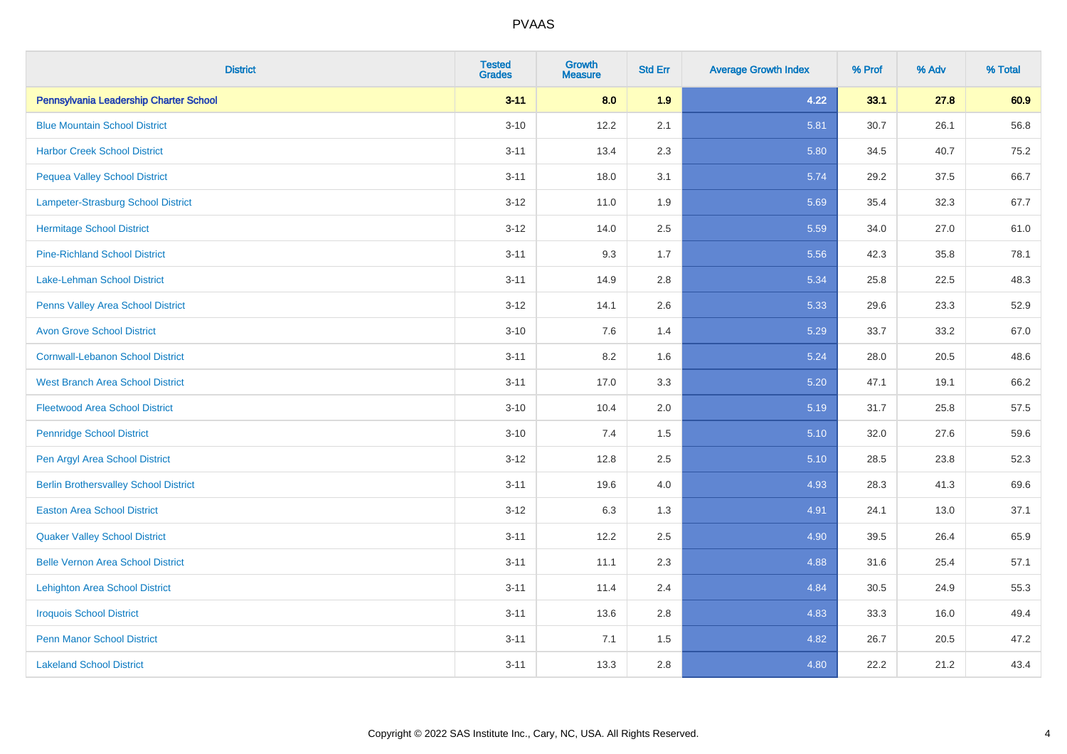| <b>District</b>                              | <b>Tested</b><br><b>Grades</b> | <b>Growth</b><br><b>Measure</b> | <b>Std Err</b> | <b>Average Growth Index</b> | % Prof | % Adv | % Total |
|----------------------------------------------|--------------------------------|---------------------------------|----------------|-----------------------------|--------|-------|---------|
| Pennsylvania Leadership Charter School       | $3 - 11$                       | 8.0                             | 1.9            | 4.22                        | 33.1   | 27.8  | 60.9    |
| <b>Blue Mountain School District</b>         | $3 - 10$                       | 12.2                            | 2.1            | 5.81                        | 30.7   | 26.1  | 56.8    |
| <b>Harbor Creek School District</b>          | $3 - 11$                       | 13.4                            | 2.3            | 5.80                        | 34.5   | 40.7  | 75.2    |
| <b>Pequea Valley School District</b>         | $3 - 11$                       | 18.0                            | 3.1            | 5.74                        | 29.2   | 37.5  | 66.7    |
| Lampeter-Strasburg School District           | $3 - 12$                       | 11.0                            | 1.9            | 5.69                        | 35.4   | 32.3  | 67.7    |
| <b>Hermitage School District</b>             | $3 - 12$                       | 14.0                            | 2.5            | 5.59                        | 34.0   | 27.0  | 61.0    |
| <b>Pine-Richland School District</b>         | $3 - 11$                       | 9.3                             | 1.7            | 5.56                        | 42.3   | 35.8  | 78.1    |
| <b>Lake-Lehman School District</b>           | $3 - 11$                       | 14.9                            | 2.8            | 5.34                        | 25.8   | 22.5  | 48.3    |
| Penns Valley Area School District            | $3 - 12$                       | 14.1                            | 2.6            | 5.33                        | 29.6   | 23.3  | 52.9    |
| <b>Avon Grove School District</b>            | $3 - 10$                       | 7.6                             | 1.4            | 5.29                        | 33.7   | 33.2  | 67.0    |
| <b>Cornwall-Lebanon School District</b>      | $3 - 11$                       | 8.2                             | 1.6            | 5.24                        | 28.0   | 20.5  | 48.6    |
| <b>West Branch Area School District</b>      | $3 - 11$                       | 17.0                            | 3.3            | 5.20                        | 47.1   | 19.1  | 66.2    |
| <b>Fleetwood Area School District</b>        | $3 - 10$                       | 10.4                            | 2.0            | 5.19                        | 31.7   | 25.8  | 57.5    |
| <b>Pennridge School District</b>             | $3 - 10$                       | 7.4                             | 1.5            | 5.10                        | 32.0   | 27.6  | 59.6    |
| Pen Argyl Area School District               | $3 - 12$                       | 12.8                            | 2.5            | 5.10                        | 28.5   | 23.8  | 52.3    |
| <b>Berlin Brothersvalley School District</b> | $3 - 11$                       | 19.6                            | 4.0            | 4.93                        | 28.3   | 41.3  | 69.6    |
| <b>Easton Area School District</b>           | $3 - 12$                       | 6.3                             | 1.3            | 4.91                        | 24.1   | 13.0  | 37.1    |
| <b>Quaker Valley School District</b>         | $3 - 11$                       | 12.2                            | 2.5            | 4.90                        | 39.5   | 26.4  | 65.9    |
| <b>Belle Vernon Area School District</b>     | $3 - 11$                       | 11.1                            | 2.3            | 4.88                        | 31.6   | 25.4  | 57.1    |
| <b>Lehighton Area School District</b>        | $3 - 11$                       | 11.4                            | 2.4            | 4.84                        | 30.5   | 24.9  | 55.3    |
| <b>Iroquois School District</b>              | $3 - 11$                       | 13.6                            | 2.8            | 4.83                        | 33.3   | 16.0  | 49.4    |
| <b>Penn Manor School District</b>            | $3 - 11$                       | 7.1                             | 1.5            | 4.82                        | 26.7   | 20.5  | 47.2    |
| <b>Lakeland School District</b>              | $3 - 11$                       | 13.3                            | 2.8            | 4.80                        | 22.2   | 21.2  | 43.4    |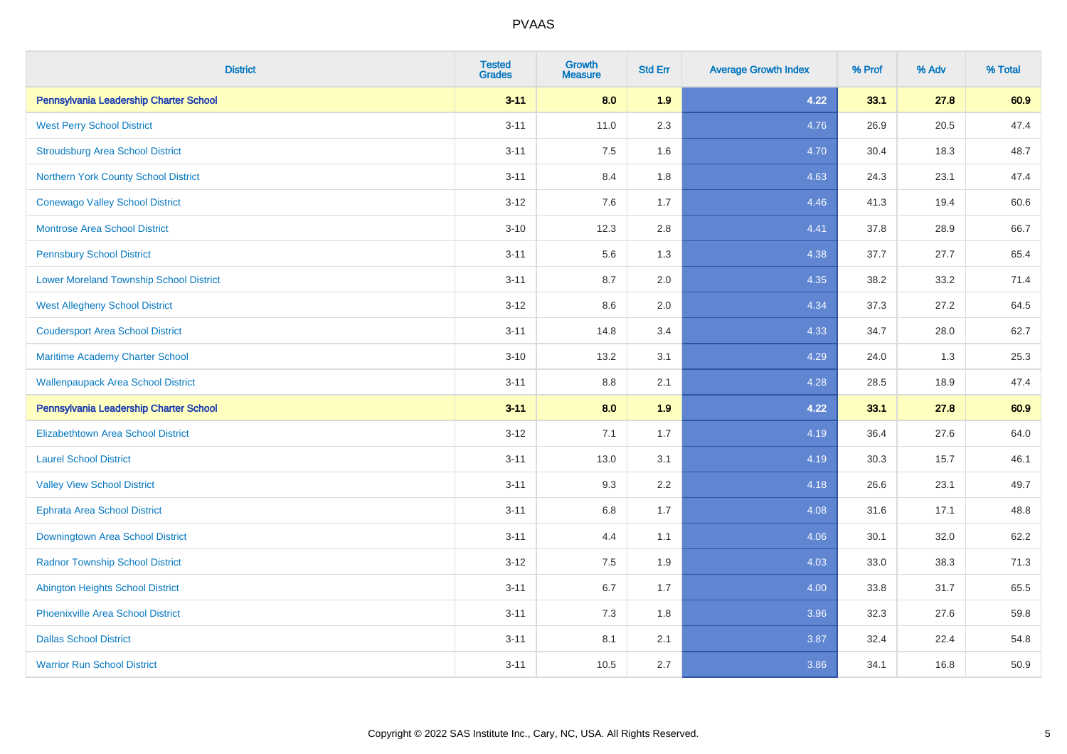| <b>District</b>                                | <b>Tested</b><br><b>Grades</b> | <b>Growth</b><br><b>Measure</b> | <b>Std Err</b> | <b>Average Growth Index</b> | % Prof | % Adv | % Total |
|------------------------------------------------|--------------------------------|---------------------------------|----------------|-----------------------------|--------|-------|---------|
| Pennsylvania Leadership Charter School         | $3 - 11$                       | 8.0                             | 1.9            | 4.22                        | 33.1   | 27.8  | 60.9    |
| <b>West Perry School District</b>              | $3 - 11$                       | 11.0                            | 2.3            | 4.76                        | 26.9   | 20.5  | 47.4    |
| <b>Stroudsburg Area School District</b>        | $3 - 11$                       | 7.5                             | 1.6            | 4.70                        | 30.4   | 18.3  | 48.7    |
| Northern York County School District           | $3 - 11$                       | 8.4                             | 1.8            | 4.63                        | 24.3   | 23.1  | 47.4    |
| <b>Conewago Valley School District</b>         | $3 - 12$                       | 7.6                             | 1.7            | 4.46                        | 41.3   | 19.4  | 60.6    |
| <b>Montrose Area School District</b>           | $3 - 10$                       | 12.3                            | 2.8            | 4.41                        | 37.8   | 28.9  | 66.7    |
| <b>Pennsbury School District</b>               | $3 - 11$                       | 5.6                             | 1.3            | 4.38                        | 37.7   | 27.7  | 65.4    |
| <b>Lower Moreland Township School District</b> | $3 - 11$                       | 8.7                             | 2.0            | 4.35                        | 38.2   | 33.2  | 71.4    |
| <b>West Allegheny School District</b>          | $3 - 12$                       | 8.6                             | 2.0            | 4.34                        | 37.3   | 27.2  | 64.5    |
| <b>Coudersport Area School District</b>        | $3 - 11$                       | 14.8                            | 3.4            | 4.33                        | 34.7   | 28.0  | 62.7    |
| Maritime Academy Charter School                | $3 - 10$                       | 13.2                            | 3.1            | 4.29                        | 24.0   | 1.3   | 25.3    |
| <b>Wallenpaupack Area School District</b>      | $3 - 11$                       | 8.8                             | 2.1            | 4.28                        | 28.5   | 18.9  | 47.4    |
| Pennsylvania Leadership Charter School         | $3 - 11$                       | 8.0                             | 1.9            | 4.22                        | 33.1   | 27.8  | 60.9    |
| <b>Elizabethtown Area School District</b>      | $3 - 12$                       | 7.1                             | 1.7            | 4.19                        | 36.4   | 27.6  | 64.0    |
| <b>Laurel School District</b>                  | $3 - 11$                       | 13.0                            | 3.1            | 4.19                        | 30.3   | 15.7  | 46.1    |
| <b>Valley View School District</b>             | $3 - 11$                       | 9.3                             | 2.2            | 4.18                        | 26.6   | 23.1  | 49.7    |
| <b>Ephrata Area School District</b>            | $3 - 11$                       | $6.8\,$                         | 1.7            | 4.08                        | 31.6   | 17.1  | 48.8    |
| Downingtown Area School District               | $3 - 11$                       | 4.4                             | 1.1            | 4.06                        | 30.1   | 32.0  | 62.2    |
| <b>Radnor Township School District</b>         | $3 - 12$                       | 7.5                             | 1.9            | 4.03                        | 33.0   | 38.3  | 71.3    |
| <b>Abington Heights School District</b>        | $3 - 11$                       | $6.7\,$                         | 1.7            | 4.00                        | 33.8   | 31.7  | 65.5    |
| Phoenixville Area School District              | $3 - 11$                       | 7.3                             | 1.8            | 3.96                        | 32.3   | 27.6  | 59.8    |
| <b>Dallas School District</b>                  | $3 - 11$                       | 8.1                             | 2.1            | 3.87                        | 32.4   | 22.4  | 54.8    |
| <b>Warrior Run School District</b>             | $3 - 11$                       | 10.5                            | 2.7            | 3.86                        | 34.1   | 16.8  | 50.9    |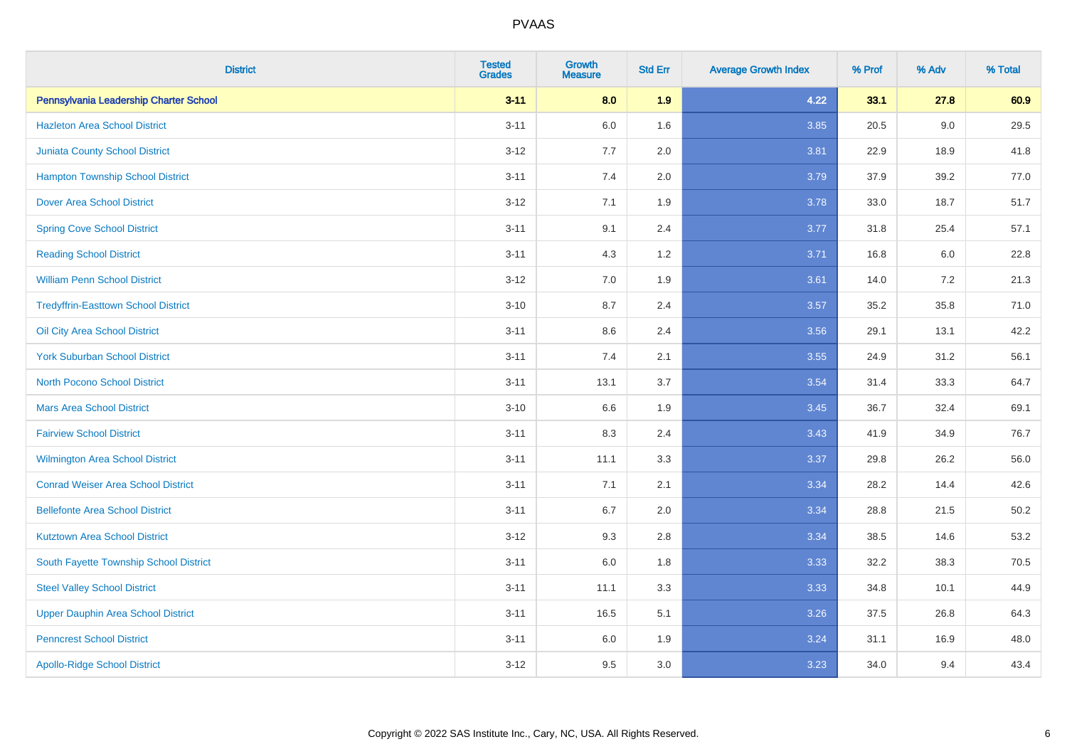| <b>District</b>                            | <b>Tested</b><br><b>Grades</b> | <b>Growth</b><br><b>Measure</b> | <b>Std Err</b> | <b>Average Growth Index</b> | % Prof | % Adv | % Total |
|--------------------------------------------|--------------------------------|---------------------------------|----------------|-----------------------------|--------|-------|---------|
| Pennsylvania Leadership Charter School     | $3 - 11$                       | 8.0                             | 1.9            | 4.22                        | 33.1   | 27.8  | 60.9    |
| <b>Hazleton Area School District</b>       | $3 - 11$                       | 6.0                             | 1.6            | 3.85                        | 20.5   | 9.0   | 29.5    |
| <b>Juniata County School District</b>      | $3 - 12$                       | 7.7                             | 2.0            | 3.81                        | 22.9   | 18.9  | 41.8    |
| <b>Hampton Township School District</b>    | $3 - 11$                       | 7.4                             | 2.0            | 3.79                        | 37.9   | 39.2  | 77.0    |
| <b>Dover Area School District</b>          | $3 - 12$                       | 7.1                             | 1.9            | 3.78                        | 33.0   | 18.7  | 51.7    |
| <b>Spring Cove School District</b>         | $3 - 11$                       | 9.1                             | 2.4            | 3.77                        | 31.8   | 25.4  | 57.1    |
| <b>Reading School District</b>             | $3 - 11$                       | 4.3                             | 1.2            | 3.71                        | 16.8   | 6.0   | 22.8    |
| <b>William Penn School District</b>        | $3 - 12$                       | 7.0                             | 1.9            | 3.61                        | 14.0   | 7.2   | 21.3    |
| <b>Tredyffrin-Easttown School District</b> | $3 - 10$                       | 8.7                             | 2.4            | 3.57                        | 35.2   | 35.8  | 71.0    |
| Oil City Area School District              | $3 - 11$                       | 8.6                             | 2.4            | 3.56                        | 29.1   | 13.1  | 42.2    |
| <b>York Suburban School District</b>       | $3 - 11$                       | 7.4                             | 2.1            | 3.55                        | 24.9   | 31.2  | 56.1    |
| North Pocono School District               | $3 - 11$                       | 13.1                            | 3.7            | 3.54                        | 31.4   | 33.3  | 64.7    |
| <b>Mars Area School District</b>           | $3 - 10$                       | 6.6                             | 1.9            | 3.45                        | 36.7   | 32.4  | 69.1    |
| <b>Fairview School District</b>            | $3 - 11$                       | 8.3                             | 2.4            | 3.43                        | 41.9   | 34.9  | 76.7    |
| <b>Wilmington Area School District</b>     | $3 - 11$                       | 11.1                            | 3.3            | 3.37                        | 29.8   | 26.2  | 56.0    |
| <b>Conrad Weiser Area School District</b>  | $3 - 11$                       | 7.1                             | 2.1            | 3.34                        | 28.2   | 14.4  | 42.6    |
| <b>Bellefonte Area School District</b>     | $3 - 11$                       | 6.7                             | 2.0            | 3.34                        | 28.8   | 21.5  | 50.2    |
| <b>Kutztown Area School District</b>       | $3 - 12$                       | 9.3                             | 2.8            | 3.34                        | 38.5   | 14.6  | 53.2    |
| South Fayette Township School District     | $3 - 11$                       | 6.0                             | 1.8            | 3.33                        | 32.2   | 38.3  | 70.5    |
| <b>Steel Valley School District</b>        | $3 - 11$                       | 11.1                            | 3.3            | 3.33                        | 34.8   | 10.1  | 44.9    |
| <b>Upper Dauphin Area School District</b>  | $3 - 11$                       | 16.5                            | 5.1            | 3.26                        | 37.5   | 26.8  | 64.3    |
| <b>Penncrest School District</b>           | $3 - 11$                       | 6.0                             | 1.9            | 3.24                        | 31.1   | 16.9  | 48.0    |
| <b>Apollo-Ridge School District</b>        | $3 - 12$                       | 9.5                             | 3.0            | 3.23                        | 34.0   | 9.4   | 43.4    |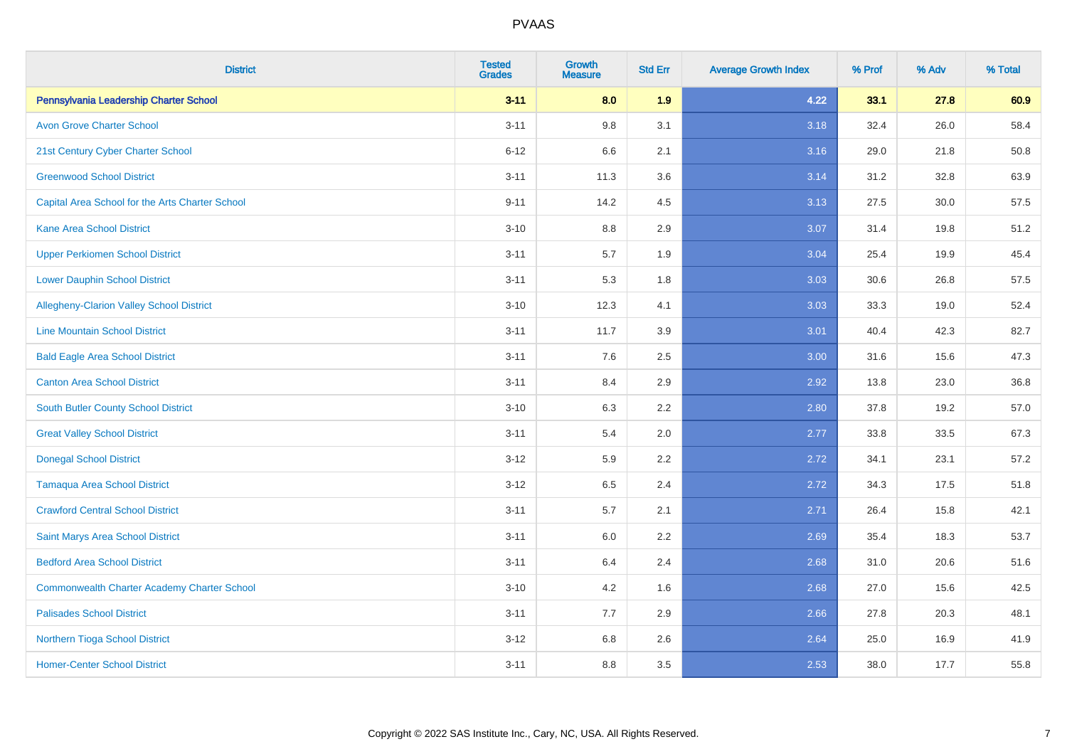| <b>District</b>                                    | <b>Tested</b><br><b>Grades</b> | Growth<br><b>Measure</b> | <b>Std Err</b> | <b>Average Growth Index</b> | % Prof | % Adv | % Total |
|----------------------------------------------------|--------------------------------|--------------------------|----------------|-----------------------------|--------|-------|---------|
| Pennsylvania Leadership Charter School             | $3 - 11$                       | 8.0                      | 1.9            | 4.22                        | 33.1   | 27.8  | 60.9    |
| <b>Avon Grove Charter School</b>                   | $3 - 11$                       | $9.8\,$                  | 3.1            | 3.18                        | 32.4   | 26.0  | 58.4    |
| 21st Century Cyber Charter School                  | $6 - 12$                       | 6.6                      | 2.1            | 3.16                        | 29.0   | 21.8  | 50.8    |
| <b>Greenwood School District</b>                   | $3 - 11$                       | 11.3                     | 3.6            | 3.14                        | 31.2   | 32.8  | 63.9    |
| Capital Area School for the Arts Charter School    | $9 - 11$                       | 14.2                     | 4.5            | 3.13                        | 27.5   | 30.0  | 57.5    |
| <b>Kane Area School District</b>                   | $3 - 10$                       | $8.8\,$                  | 2.9            | 3.07                        | 31.4   | 19.8  | 51.2    |
| <b>Upper Perkiomen School District</b>             | $3 - 11$                       | 5.7                      | 1.9            | 3.04                        | 25.4   | 19.9  | 45.4    |
| <b>Lower Dauphin School District</b>               | $3 - 11$                       | 5.3                      | 1.8            | 3.03                        | 30.6   | 26.8  | 57.5    |
| Allegheny-Clarion Valley School District           | $3 - 10$                       | 12.3                     | 4.1            | 3.03                        | 33.3   | 19.0  | 52.4    |
| <b>Line Mountain School District</b>               | $3 - 11$                       | 11.7                     | 3.9            | 3.01                        | 40.4   | 42.3  | 82.7    |
| <b>Bald Eagle Area School District</b>             | $3 - 11$                       | 7.6                      | 2.5            | 3.00                        | 31.6   | 15.6  | 47.3    |
| <b>Canton Area School District</b>                 | $3 - 11$                       | 8.4                      | 2.9            | 2.92                        | 13.8   | 23.0  | 36.8    |
| South Butler County School District                | $3 - 10$                       | 6.3                      | 2.2            | 2.80                        | 37.8   | 19.2  | 57.0    |
| <b>Great Valley School District</b>                | $3 - 11$                       | 5.4                      | 2.0            | 2.77                        | 33.8   | 33.5  | 67.3    |
| <b>Donegal School District</b>                     | $3 - 12$                       | 5.9                      | 2.2            | 2.72                        | 34.1   | 23.1  | 57.2    |
| <b>Tamaqua Area School District</b>                | $3 - 12$                       | 6.5                      | 2.4            | 2.72                        | 34.3   | 17.5  | 51.8    |
| <b>Crawford Central School District</b>            | $3 - 11$                       | 5.7                      | 2.1            | 2.71                        | 26.4   | 15.8  | 42.1    |
| Saint Marys Area School District                   | $3 - 11$                       | 6.0                      | 2.2            | 2.69                        | 35.4   | 18.3  | 53.7    |
| <b>Bedford Area School District</b>                | $3 - 11$                       | 6.4                      | 2.4            | 2.68                        | 31.0   | 20.6  | 51.6    |
| <b>Commonwealth Charter Academy Charter School</b> | $3 - 10$                       | 4.2                      | 1.6            | 2.68                        | 27.0   | 15.6  | 42.5    |
| <b>Palisades School District</b>                   | $3 - 11$                       | 7.7                      | 2.9            | 2.66                        | 27.8   | 20.3  | 48.1    |
| <b>Northern Tioga School District</b>              | $3 - 12$                       | 6.8                      | 2.6            | 2.64                        | 25.0   | 16.9  | 41.9    |
| <b>Homer-Center School District</b>                | $3 - 11$                       | 8.8                      | 3.5            | 2.53                        | 38.0   | 17.7  | 55.8    |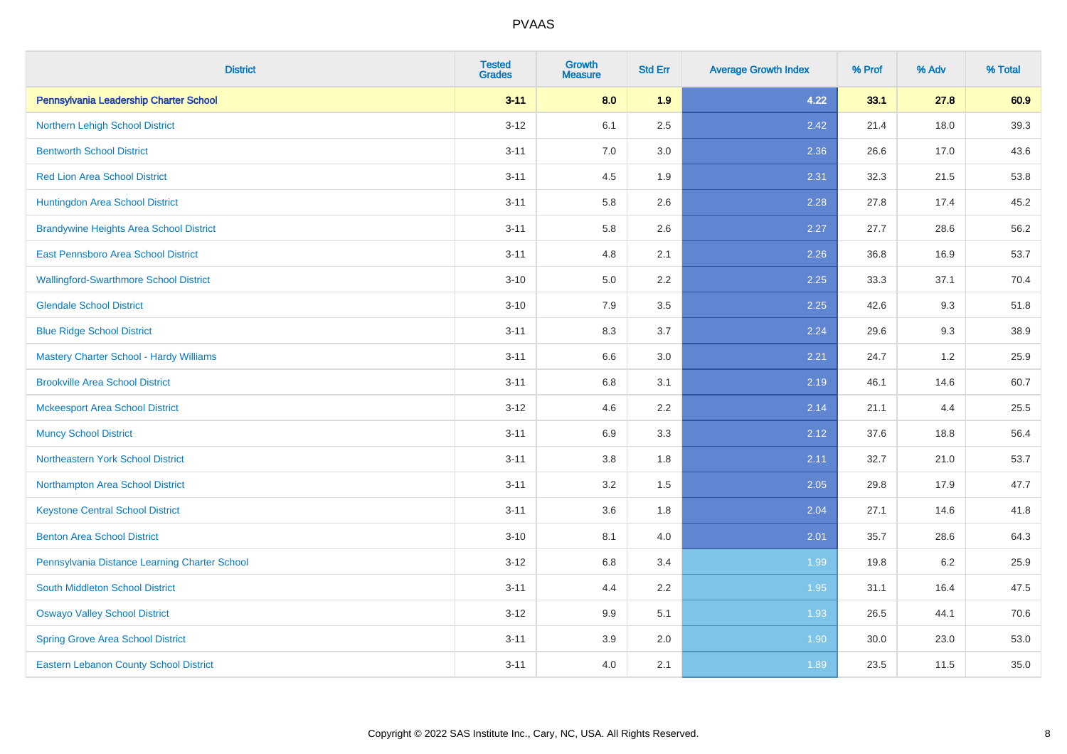| <b>District</b>                                | <b>Tested</b><br><b>Grades</b> | <b>Growth</b><br><b>Measure</b> | <b>Std Err</b> | <b>Average Growth Index</b> | % Prof | % Adv | % Total |
|------------------------------------------------|--------------------------------|---------------------------------|----------------|-----------------------------|--------|-------|---------|
| Pennsylvania Leadership Charter School         | $3 - 11$                       | 8.0                             | 1.9            | 4.22                        | 33.1   | 27.8  | 60.9    |
| Northern Lehigh School District                | $3 - 12$                       | 6.1                             | 2.5            | 2.42                        | 21.4   | 18.0  | 39.3    |
| <b>Bentworth School District</b>               | $3 - 11$                       | 7.0                             | 3.0            | 2.36                        | 26.6   | 17.0  | 43.6    |
| <b>Red Lion Area School District</b>           | $3 - 11$                       | 4.5                             | 1.9            | 2.31                        | 32.3   | 21.5  | 53.8    |
| Huntingdon Area School District                | $3 - 11$                       | 5.8                             | 2.6            | 2.28                        | 27.8   | 17.4  | 45.2    |
| <b>Brandywine Heights Area School District</b> | $3 - 11$                       | 5.8                             | 2.6            | 2.27                        | 27.7   | 28.6  | 56.2    |
| East Pennsboro Area School District            | $3 - 11$                       | 4.8                             | 2.1            | 2.26                        | 36.8   | 16.9  | 53.7    |
| <b>Wallingford-Swarthmore School District</b>  | $3 - 10$                       | 5.0                             | 2.2            | 2.25                        | 33.3   | 37.1  | 70.4    |
| <b>Glendale School District</b>                | $3 - 10$                       | 7.9                             | 3.5            | 2.25                        | 42.6   | 9.3   | 51.8    |
| <b>Blue Ridge School District</b>              | $3 - 11$                       | 8.3                             | 3.7            | 2.24                        | 29.6   | 9.3   | 38.9    |
| Mastery Charter School - Hardy Williams        | $3 - 11$                       | 6.6                             | 3.0            | 2.21                        | 24.7   | 1.2   | 25.9    |
| <b>Brookville Area School District</b>         | $3 - 11$                       | 6.8                             | 3.1            | 2.19                        | 46.1   | 14.6  | 60.7    |
| <b>Mckeesport Area School District</b>         | $3 - 12$                       | 4.6                             | 2.2            | 2.14                        | 21.1   | 4.4   | 25.5    |
| <b>Muncy School District</b>                   | $3 - 11$                       | 6.9                             | 3.3            | 2.12                        | 37.6   | 18.8  | 56.4    |
| <b>Northeastern York School District</b>       | $3 - 11$                       | 3.8                             | 1.8            | 2.11                        | 32.7   | 21.0  | 53.7    |
| Northampton Area School District               | $3 - 11$                       | 3.2                             | 1.5            | 2.05                        | 29.8   | 17.9  | 47.7    |
| <b>Keystone Central School District</b>        | $3 - 11$                       | 3.6                             | 1.8            | 2.04                        | 27.1   | 14.6  | 41.8    |
| <b>Benton Area School District</b>             | $3 - 10$                       | 8.1                             | 4.0            | 2.01                        | 35.7   | 28.6  | 64.3    |
| Pennsylvania Distance Learning Charter School  | $3 - 12$                       | 6.8                             | 3.4            | 1.99                        | 19.8   | 6.2   | 25.9    |
| <b>South Middleton School District</b>         | $3 - 11$                       | 4.4                             | 2.2            | 1.95                        | 31.1   | 16.4  | 47.5    |
| <b>Oswayo Valley School District</b>           | $3-12$                         | 9.9                             | 5.1            | 1.93                        | 26.5   | 44.1  | 70.6    |
| <b>Spring Grove Area School District</b>       | $3 - 11$                       | 3.9                             | 2.0            | 1.90                        | 30.0   | 23.0  | 53.0    |
| <b>Eastern Lebanon County School District</b>  | $3 - 11$                       | 4.0                             | 2.1            | 1.89                        | 23.5   | 11.5  | 35.0    |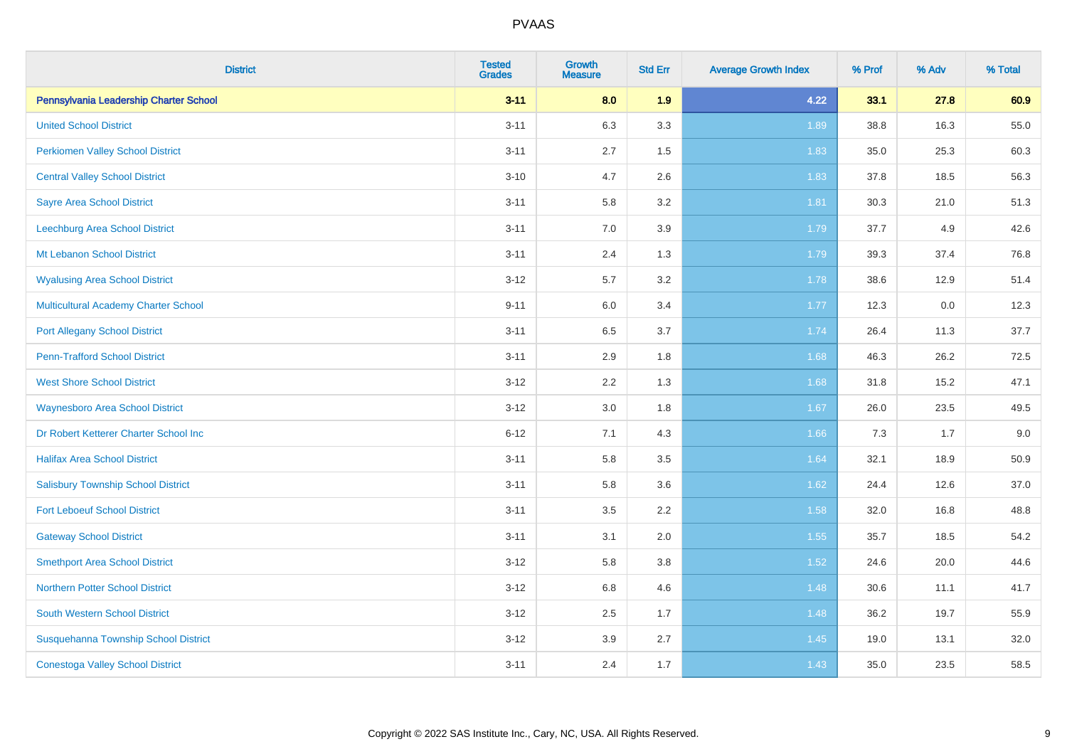| <b>District</b>                             | <b>Tested</b><br><b>Grades</b> | <b>Growth</b><br><b>Measure</b> | <b>Std Err</b> | <b>Average Growth Index</b> | % Prof | % Adv | % Total |
|---------------------------------------------|--------------------------------|---------------------------------|----------------|-----------------------------|--------|-------|---------|
| Pennsylvania Leadership Charter School      | $3 - 11$                       | 8.0                             | 1.9            | 4.22                        | 33.1   | 27.8  | 60.9    |
| <b>United School District</b>               | $3 - 11$                       | 6.3                             | 3.3            | 1.89                        | 38.8   | 16.3  | 55.0    |
| <b>Perkiomen Valley School District</b>     | $3 - 11$                       | 2.7                             | 1.5            | 1.83                        | 35.0   | 25.3  | 60.3    |
| <b>Central Valley School District</b>       | $3 - 10$                       | 4.7                             | 2.6            | 1.83                        | 37.8   | 18.5  | 56.3    |
| <b>Sayre Area School District</b>           | $3 - 11$                       | 5.8                             | 3.2            | 1.81                        | 30.3   | 21.0  | 51.3    |
| Leechburg Area School District              | $3 - 11$                       | 7.0                             | 3.9            | 1.79                        | 37.7   | 4.9   | 42.6    |
| Mt Lebanon School District                  | $3 - 11$                       | 2.4                             | 1.3            | 1.79                        | 39.3   | 37.4  | 76.8    |
| <b>Wyalusing Area School District</b>       | $3 - 12$                       | 5.7                             | 3.2            | 1.78                        | 38.6   | 12.9  | 51.4    |
| <b>Multicultural Academy Charter School</b> | $9 - 11$                       | 6.0                             | 3.4            | 1.77                        | 12.3   | 0.0   | 12.3    |
| <b>Port Allegany School District</b>        | $3 - 11$                       | 6.5                             | 3.7            | 1.74                        | 26.4   | 11.3  | 37.7    |
| <b>Penn-Trafford School District</b>        | $3 - 11$                       | 2.9                             | 1.8            | 1.68                        | 46.3   | 26.2  | 72.5    |
| <b>West Shore School District</b>           | $3 - 12$                       | 2.2                             | 1.3            | 1.68                        | 31.8   | 15.2  | 47.1    |
| <b>Waynesboro Area School District</b>      | $3 - 12$                       | $3.0\,$                         | 1.8            | 1.67                        | 26.0   | 23.5  | 49.5    |
| Dr Robert Ketterer Charter School Inc       | $6 - 12$                       | 7.1                             | 4.3            | 1.66                        | 7.3    | 1.7   | 9.0     |
| <b>Halifax Area School District</b>         | $3 - 11$                       | 5.8                             | 3.5            | 1.64                        | 32.1   | 18.9  | 50.9    |
| <b>Salisbury Township School District</b>   | $3 - 11$                       | 5.8                             | 3.6            | 1.62                        | 24.4   | 12.6  | 37.0    |
| <b>Fort Leboeuf School District</b>         | $3 - 11$                       | 3.5                             | 2.2            | 1.58                        | 32.0   | 16.8  | 48.8    |
| <b>Gateway School District</b>              | $3 - 11$                       | 3.1                             | 2.0            | 1.55                        | 35.7   | 18.5  | 54.2    |
| <b>Smethport Area School District</b>       | $3 - 12$                       | 5.8                             | 3.8            | 1.52                        | 24.6   | 20.0  | 44.6    |
| <b>Northern Potter School District</b>      | $3 - 12$                       | $6.8\,$                         | 4.6            | 1.48                        | 30.6   | 11.1  | 41.7    |
| South Western School District               | $3 - 12$                       | 2.5                             | 1.7            | 1.48                        | 36.2   | 19.7  | 55.9    |
| Susquehanna Township School District        | $3 - 12$                       | 3.9                             | 2.7            | 1.45                        | 19.0   | 13.1  | 32.0    |
| <b>Conestoga Valley School District</b>     | $3 - 11$                       | 2.4                             | 1.7            | 1.43                        | 35.0   | 23.5  | 58.5    |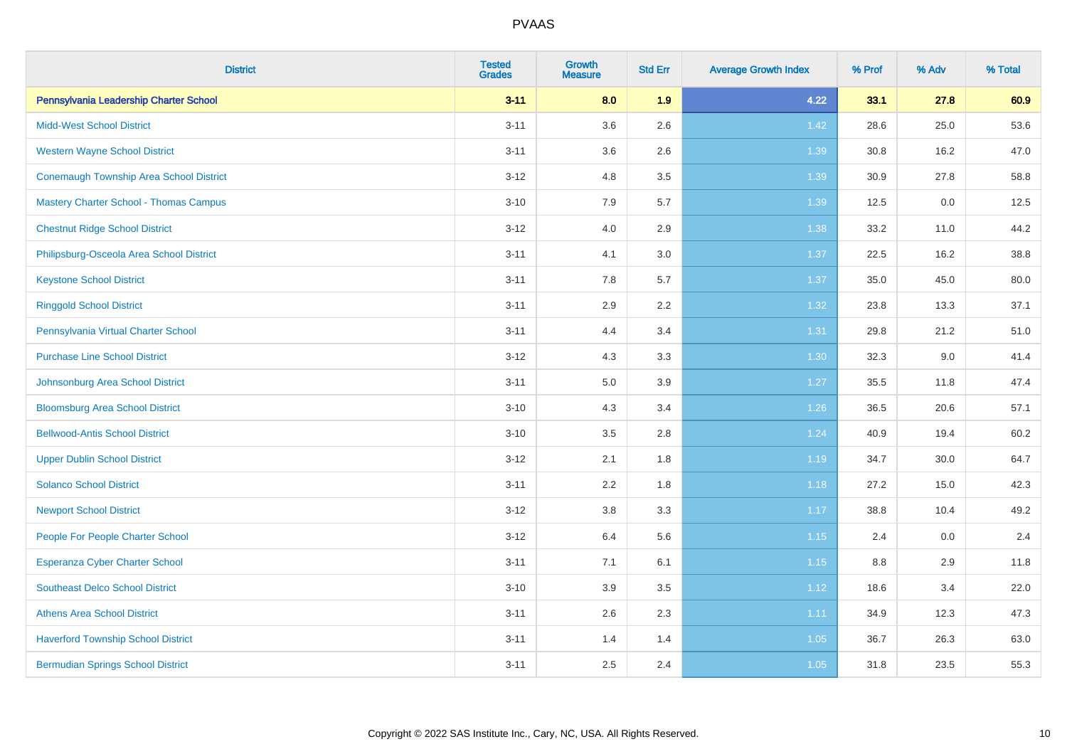| <b>District</b>                               | <b>Tested</b><br><b>Grades</b> | <b>Growth</b><br><b>Measure</b> | <b>Std Err</b> | <b>Average Growth Index</b> | % Prof | % Adv | % Total |
|-----------------------------------------------|--------------------------------|---------------------------------|----------------|-----------------------------|--------|-------|---------|
| Pennsylvania Leadership Charter School        | $3 - 11$                       | 8.0                             | 1.9            | 4.22                        | 33.1   | 27.8  | 60.9    |
| <b>Midd-West School District</b>              | $3 - 11$                       | 3.6                             | 2.6            | 1.42                        | 28.6   | 25.0  | 53.6    |
| <b>Western Wayne School District</b>          | $3 - 11$                       | 3.6                             | 2.6            | 1.39                        | 30.8   | 16.2  | 47.0    |
| Conemaugh Township Area School District       | $3 - 12$                       | 4.8                             | 3.5            | 1.39                        | 30.9   | 27.8  | 58.8    |
| <b>Mastery Charter School - Thomas Campus</b> | $3 - 10$                       | 7.9                             | 5.7            | 1.39                        | 12.5   | 0.0   | 12.5    |
| <b>Chestnut Ridge School District</b>         | $3 - 12$                       | 4.0                             | 2.9            | 1.38                        | 33.2   | 11.0  | 44.2    |
| Philipsburg-Osceola Area School District      | $3 - 11$                       | 4.1                             | 3.0            | 1.37                        | 22.5   | 16.2  | 38.8    |
| <b>Keystone School District</b>               | $3 - 11$                       | 7.8                             | 5.7            | 1.37                        | 35.0   | 45.0  | 80.0    |
| <b>Ringgold School District</b>               | $3 - 11$                       | 2.9                             | 2.2            | 1.32                        | 23.8   | 13.3  | 37.1    |
| Pennsylvania Virtual Charter School           | $3 - 11$                       | 4.4                             | 3.4            | 1.31                        | 29.8   | 21.2  | 51.0    |
| <b>Purchase Line School District</b>          | $3 - 12$                       | 4.3                             | 3.3            | $1.30$                      | 32.3   | 9.0   | 41.4    |
| Johnsonburg Area School District              | $3 - 11$                       | 5.0                             | 3.9            | 1.27                        | 35.5   | 11.8  | 47.4    |
| <b>Bloomsburg Area School District</b>        | $3 - 10$                       | 4.3                             | 3.4            | 1.26                        | 36.5   | 20.6  | 57.1    |
| <b>Bellwood-Antis School District</b>         | $3 - 10$                       | 3.5                             | 2.8            | 1.24                        | 40.9   | 19.4  | 60.2    |
| <b>Upper Dublin School District</b>           | $3 - 12$                       | 2.1                             | 1.8            | 1.19                        | 34.7   | 30.0  | 64.7    |
| <b>Solanco School District</b>                | $3 - 11$                       | 2.2                             | 1.8            | 1.18                        | 27.2   | 15.0  | 42.3    |
| <b>Newport School District</b>                | $3 - 12$                       | 3.8                             | 3.3            | 1.17                        | 38.8   | 10.4  | 49.2    |
| People For People Charter School              | $3 - 12$                       | 6.4                             | 5.6            | $1.15$                      | 2.4    | 0.0   | 2.4     |
| <b>Esperanza Cyber Charter School</b>         | $3 - 11$                       | 7.1                             | 6.1            | 1.15                        | 8.8    | 2.9   | 11.8    |
| <b>Southeast Delco School District</b>        | $3 - 10$                       | 3.9                             | 3.5            | 1.12                        | 18.6   | 3.4   | 22.0    |
| <b>Athens Area School District</b>            | $3 - 11$                       | 2.6                             | 2.3            | 1.11                        | 34.9   | 12.3  | 47.3    |
| <b>Haverford Township School District</b>     | $3 - 11$                       | 1.4                             | 1.4            | 1.05                        | 36.7   | 26.3  | 63.0    |
| <b>Bermudian Springs School District</b>      | $3 - 11$                       | 2.5                             | 2.4            | 1.05                        | 31.8   | 23.5  | 55.3    |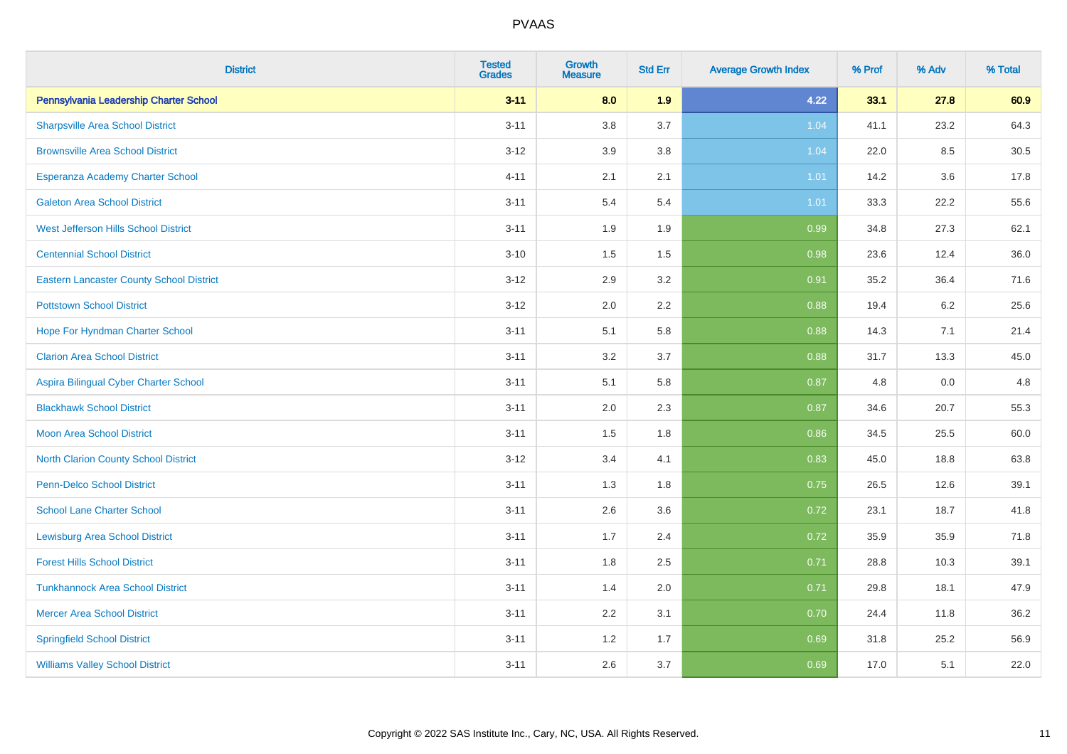| <b>District</b>                                 | <b>Tested</b><br><b>Grades</b> | <b>Growth</b><br><b>Measure</b> | <b>Std Err</b> | <b>Average Growth Index</b> | % Prof | % Adv | % Total |
|-------------------------------------------------|--------------------------------|---------------------------------|----------------|-----------------------------|--------|-------|---------|
| Pennsylvania Leadership Charter School          | $3 - 11$                       | 8.0                             | 1.9            | 4.22                        | 33.1   | 27.8  | 60.9    |
| <b>Sharpsville Area School District</b>         | $3 - 11$                       | 3.8                             | 3.7            | 1.04                        | 41.1   | 23.2  | 64.3    |
| <b>Brownsville Area School District</b>         | $3 - 12$                       | 3.9                             | 3.8            | 1.04                        | 22.0   | 8.5   | 30.5    |
| Esperanza Academy Charter School                | $4 - 11$                       | 2.1                             | 2.1            | 1.01                        | 14.2   | 3.6   | 17.8    |
| <b>Galeton Area School District</b>             | $3 - 11$                       | 5.4                             | 5.4            | 1.01                        | 33.3   | 22.2  | 55.6    |
| <b>West Jefferson Hills School District</b>     | $3 - 11$                       | 1.9                             | 1.9            | 0.99                        | 34.8   | 27.3  | 62.1    |
| <b>Centennial School District</b>               | $3 - 10$                       | 1.5                             | 1.5            | 0.98                        | 23.6   | 12.4  | 36.0    |
| <b>Eastern Lancaster County School District</b> | $3 - 12$                       | 2.9                             | 3.2            | 0.91                        | 35.2   | 36.4  | 71.6    |
| <b>Pottstown School District</b>                | $3 - 12$                       | 2.0                             | 2.2            | 0.88                        | 19.4   | 6.2   | 25.6    |
| Hope For Hyndman Charter School                 | $3 - 11$                       | 5.1                             | 5.8            | 0.88                        | 14.3   | 7.1   | 21.4    |
| <b>Clarion Area School District</b>             | $3 - 11$                       | 3.2                             | 3.7            | 0.88                        | 31.7   | 13.3  | 45.0    |
| Aspira Bilingual Cyber Charter School           | $3 - 11$                       | 5.1                             | 5.8            | 0.87                        | 4.8    | 0.0   | 4.8     |
| <b>Blackhawk School District</b>                | $3 - 11$                       | 2.0                             | 2.3            | 0.87                        | 34.6   | 20.7  | 55.3    |
| <b>Moon Area School District</b>                | $3 - 11$                       | 1.5                             | 1.8            | 0.86                        | 34.5   | 25.5  | 60.0    |
| <b>North Clarion County School District</b>     | $3 - 12$                       | 3.4                             | 4.1            | 0.83                        | 45.0   | 18.8  | 63.8    |
| <b>Penn-Delco School District</b>               | $3 - 11$                       | 1.3                             | 1.8            | 0.75                        | 26.5   | 12.6  | 39.1    |
| <b>School Lane Charter School</b>               | $3 - 11$                       | 2.6                             | 3.6            | 0.72                        | 23.1   | 18.7  | 41.8    |
| <b>Lewisburg Area School District</b>           | $3 - 11$                       | 1.7                             | 2.4            | 0.72                        | 35.9   | 35.9  | 71.8    |
| <b>Forest Hills School District</b>             | $3 - 11$                       | 1.8                             | 2.5            | 0.71                        | 28.8   | 10.3  | 39.1    |
| <b>Tunkhannock Area School District</b>         | $3 - 11$                       | 1.4                             | 2.0            | 0.71                        | 29.8   | 18.1  | 47.9    |
| <b>Mercer Area School District</b>              | $3 - 11$                       | $2.2\,$                         | 3.1            | 0.70                        | 24.4   | 11.8  | 36.2    |
| <b>Springfield School District</b>              | $3 - 11$                       | 1.2                             | 1.7            | 0.69                        | 31.8   | 25.2  | 56.9    |
| <b>Williams Valley School District</b>          | $3 - 11$                       | 2.6                             | 3.7            | 0.69                        | 17.0   | 5.1   | 22.0    |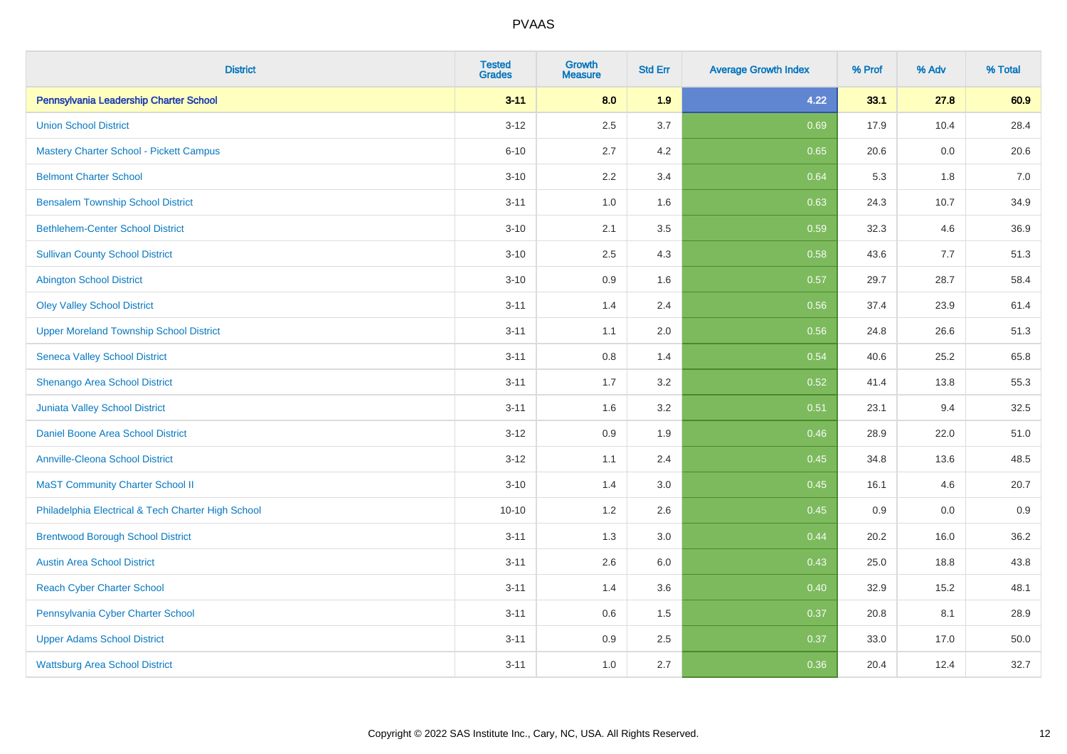| <b>District</b>                                    | <b>Tested</b><br><b>Grades</b> | <b>Growth</b><br><b>Measure</b> | <b>Std Err</b> | <b>Average Growth Index</b> | % Prof | % Adv | % Total |
|----------------------------------------------------|--------------------------------|---------------------------------|----------------|-----------------------------|--------|-------|---------|
| Pennsylvania Leadership Charter School             | $3 - 11$                       | 8.0                             | 1.9            | 4.22                        | 33.1   | 27.8  | 60.9    |
| <b>Union School District</b>                       | $3 - 12$                       | 2.5                             | 3.7            | 0.69                        | 17.9   | 10.4  | 28.4    |
| <b>Mastery Charter School - Pickett Campus</b>     | $6 - 10$                       | 2.7                             | 4.2            | 0.65                        | 20.6   | 0.0   | 20.6    |
| <b>Belmont Charter School</b>                      | $3 - 10$                       | 2.2                             | 3.4            | 0.64                        | 5.3    | 1.8   | 7.0     |
| <b>Bensalem Township School District</b>           | $3 - 11$                       | 1.0                             | 1.6            | 0.63                        | 24.3   | 10.7  | 34.9    |
| <b>Bethlehem-Center School District</b>            | $3 - 10$                       | 2.1                             | 3.5            | 0.59                        | 32.3   | 4.6   | 36.9    |
| <b>Sullivan County School District</b>             | $3 - 10$                       | 2.5                             | 4.3            | 0.58                        | 43.6   | 7.7   | 51.3    |
| <b>Abington School District</b>                    | $3 - 10$                       | 0.9                             | 1.6            | 0.57                        | 29.7   | 28.7  | 58.4    |
| <b>Oley Valley School District</b>                 | $3 - 11$                       | 1.4                             | 2.4            | 0.56                        | 37.4   | 23.9  | 61.4    |
| <b>Upper Moreland Township School District</b>     | $3 - 11$                       | 1.1                             | 2.0            | 0.56                        | 24.8   | 26.6  | 51.3    |
| <b>Seneca Valley School District</b>               | $3 - 11$                       | 0.8                             | 1.4            | 0.54                        | 40.6   | 25.2  | 65.8    |
| Shenango Area School District                      | $3 - 11$                       | 1.7                             | 3.2            | 0.52                        | 41.4   | 13.8  | 55.3    |
| Juniata Valley School District                     | $3 - 11$                       | 1.6                             | 3.2            | 0.51                        | 23.1   | 9.4   | 32.5    |
| Daniel Boone Area School District                  | $3 - 12$                       | 0.9                             | 1.9            | 0.46                        | 28.9   | 22.0  | 51.0    |
| <b>Annville-Cleona School District</b>             | $3 - 12$                       | 1.1                             | 2.4            | 0.45                        | 34.8   | 13.6  | 48.5    |
| <b>MaST Community Charter School II</b>            | $3 - 10$                       | 1.4                             | 3.0            | 0.45                        | 16.1   | 4.6   | 20.7    |
| Philadelphia Electrical & Tech Charter High School | $10 - 10$                      | 1.2                             | 2.6            | 0.45                        | 0.9    | 0.0   | 0.9     |
| <b>Brentwood Borough School District</b>           | $3 - 11$                       | 1.3                             | 3.0            | 0.44                        | 20.2   | 16.0  | 36.2    |
| <b>Austin Area School District</b>                 | $3 - 11$                       | 2.6                             | 6.0            | 0.43                        | 25.0   | 18.8  | 43.8    |
| <b>Reach Cyber Charter School</b>                  | $3 - 11$                       | 1.4                             | 3.6            | 0.40                        | 32.9   | 15.2  | 48.1    |
| Pennsylvania Cyber Charter School                  | $3 - 11$                       | 0.6                             | 1.5            | 0.37                        | 20.8   | 8.1   | 28.9    |
| <b>Upper Adams School District</b>                 | $3 - 11$                       | 0.9                             | 2.5            | 0.37                        | 33.0   | 17.0  | 50.0    |
| <b>Wattsburg Area School District</b>              | $3 - 11$                       | 1.0                             | 2.7            | 0.36                        | 20.4   | 12.4  | 32.7    |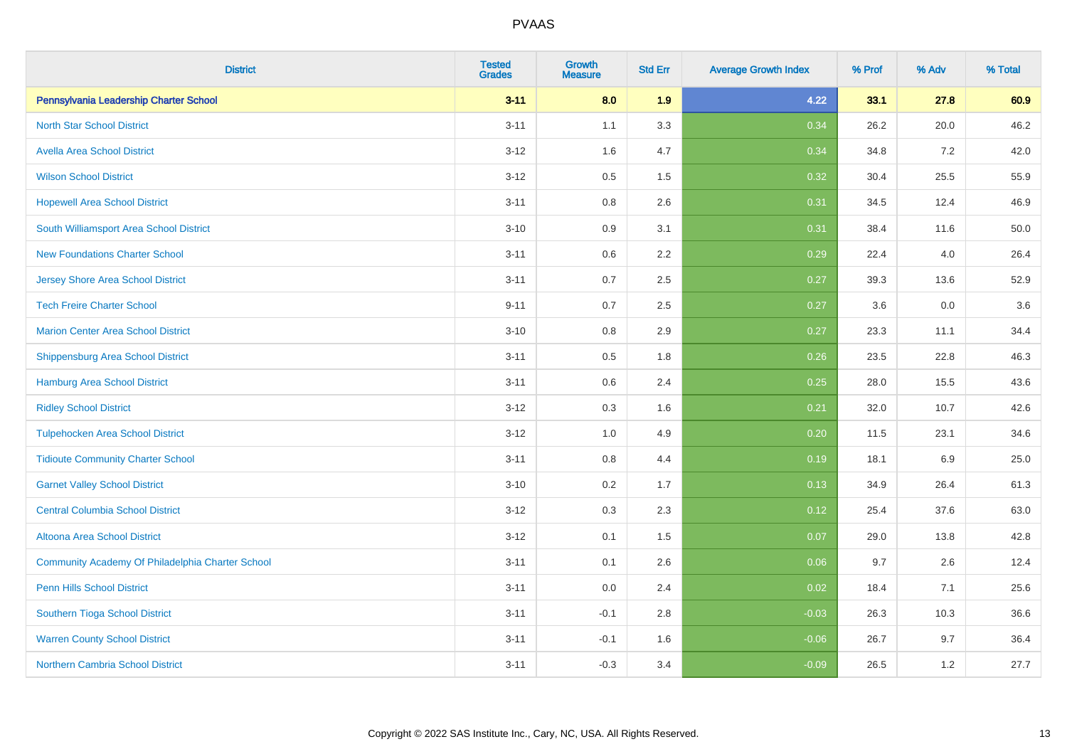| <b>District</b>                                  | <b>Tested</b><br><b>Grades</b> | Growth<br><b>Measure</b> | <b>Std Err</b> | <b>Average Growth Index</b> | % Prof | % Adv   | % Total  |
|--------------------------------------------------|--------------------------------|--------------------------|----------------|-----------------------------|--------|---------|----------|
| Pennsylvania Leadership Charter School           | $3 - 11$                       | 8.0                      | 1.9            | 4.22                        | 33.1   | 27.8    | 60.9     |
| <b>North Star School District</b>                | $3 - 11$                       | 1.1                      | 3.3            | 0.34                        | 26.2   | 20.0    | 46.2     |
| <b>Avella Area School District</b>               | $3 - 12$                       | 1.6                      | 4.7            | 0.34                        | 34.8   | 7.2     | 42.0     |
| <b>Wilson School District</b>                    | $3 - 12$                       | 0.5                      | 1.5            | 0.32                        | 30.4   | 25.5    | 55.9     |
| <b>Hopewell Area School District</b>             | $3 - 11$                       | 0.8                      | 2.6            | 0.31                        | 34.5   | 12.4    | 46.9     |
| South Williamsport Area School District          | $3 - 10$                       | 0.9                      | 3.1            | 0.31                        | 38.4   | 11.6    | $50.0\,$ |
| <b>New Foundations Charter School</b>            | $3 - 11$                       | 0.6                      | 2.2            | 0.29                        | 22.4   | 4.0     | 26.4     |
| <b>Jersey Shore Area School District</b>         | $3 - 11$                       | 0.7                      | 2.5            | 0.27                        | 39.3   | 13.6    | 52.9     |
| <b>Tech Freire Charter School</b>                | $9 - 11$                       | 0.7                      | 2.5            | 0.27                        | 3.6    | 0.0     | 3.6      |
| <b>Marion Center Area School District</b>        | $3 - 10$                       | 0.8                      | 2.9            | 0.27                        | 23.3   | 11.1    | 34.4     |
| Shippensburg Area School District                | $3 - 11$                       | 0.5                      | 1.8            | 0.26                        | 23.5   | 22.8    | 46.3     |
| Hamburg Area School District                     | $3 - 11$                       | 0.6                      | 2.4            | 0.25                        | 28.0   | 15.5    | 43.6     |
| <b>Ridley School District</b>                    | $3 - 12$                       | 0.3                      | 1.6            | 0.21                        | 32.0   | 10.7    | 42.6     |
| <b>Tulpehocken Area School District</b>          | $3 - 12$                       | 1.0                      | 4.9            | 0.20                        | 11.5   | 23.1    | 34.6     |
| <b>Tidioute Community Charter School</b>         | $3 - 11$                       | $0.8\,$                  | 4.4            | 0.19                        | 18.1   | $6.9\,$ | 25.0     |
| <b>Garnet Valley School District</b>             | $3 - 10$                       | 0.2                      | 1.7            | 0.13                        | 34.9   | 26.4    | 61.3     |
| <b>Central Columbia School District</b>          | $3 - 12$                       | 0.3                      | 2.3            | 0.12                        | 25.4   | 37.6    | 63.0     |
| Altoona Area School District                     | $3 - 12$                       | 0.1                      | 1.5            | 0.07                        | 29.0   | 13.8    | 42.8     |
| Community Academy Of Philadelphia Charter School | $3 - 11$                       | 0.1                      | 2.6            | 0.06                        | 9.7    | 2.6     | 12.4     |
| Penn Hills School District                       | $3 - 11$                       | 0.0                      | 2.4            | 0.02                        | 18.4   | 7.1     | 25.6     |
| Southern Tioga School District                   | $3 - 11$                       | $-0.1$                   | 2.8            | $-0.03$                     | 26.3   | 10.3    | 36.6     |
| <b>Warren County School District</b>             | $3 - 11$                       | $-0.1$                   | 1.6            | $-0.06$                     | 26.7   | 9.7     | 36.4     |
| Northern Cambria School District                 | $3 - 11$                       | $-0.3$                   | 3.4            | $-0.09$                     | 26.5   | 1.2     | 27.7     |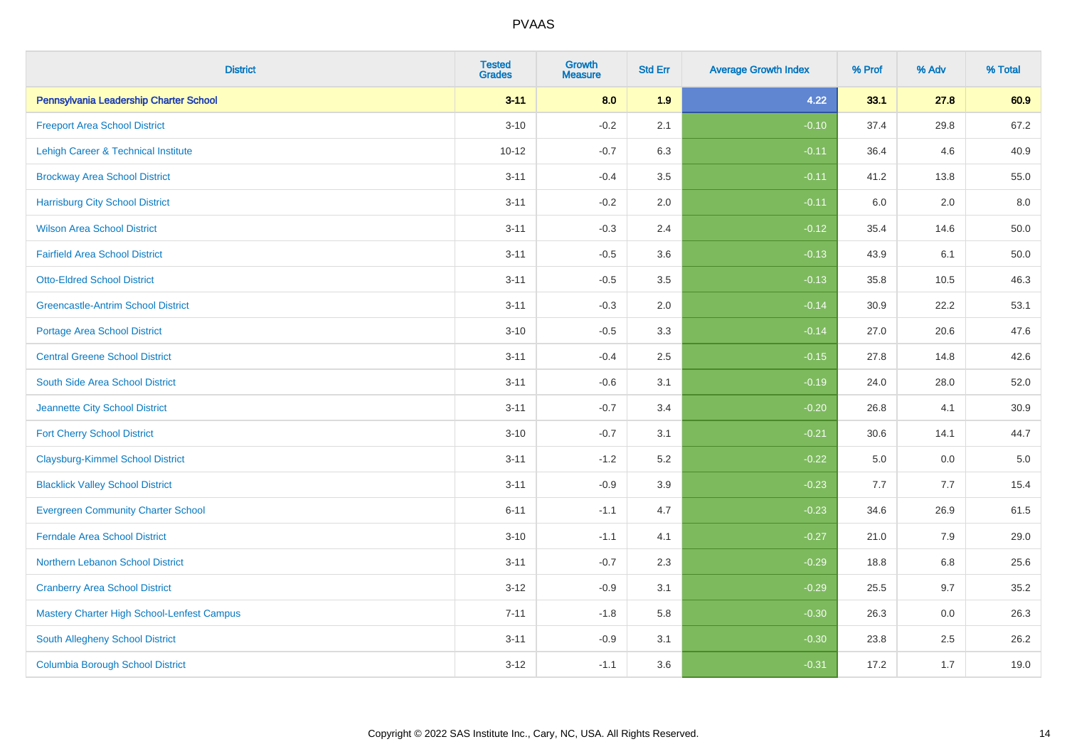| <b>District</b>                            | <b>Tested</b><br><b>Grades</b> | <b>Growth</b><br><b>Measure</b> | <b>Std Err</b> | <b>Average Growth Index</b> | % Prof | % Adv | % Total  |
|--------------------------------------------|--------------------------------|---------------------------------|----------------|-----------------------------|--------|-------|----------|
| Pennsylvania Leadership Charter School     | $3 - 11$                       | 8.0                             | 1.9            | 4.22                        | 33.1   | 27.8  | 60.9     |
| <b>Freeport Area School District</b>       | $3 - 10$                       | $-0.2$                          | 2.1            | $-0.10$                     | 37.4   | 29.8  | 67.2     |
| Lehigh Career & Technical Institute        | $10 - 12$                      | $-0.7$                          | 6.3            | $-0.11$                     | 36.4   | 4.6   | 40.9     |
| <b>Brockway Area School District</b>       | $3 - 11$                       | $-0.4$                          | 3.5            | $-0.11$                     | 41.2   | 13.8  | 55.0     |
| <b>Harrisburg City School District</b>     | $3 - 11$                       | $-0.2$                          | 2.0            | $-0.11$                     | 6.0    | 2.0   | 8.0      |
| <b>Wilson Area School District</b>         | $3 - 11$                       | $-0.3$                          | 2.4            | $-0.12$                     | 35.4   | 14.6  | 50.0     |
| <b>Fairfield Area School District</b>      | $3 - 11$                       | $-0.5$                          | 3.6            | $-0.13$                     | 43.9   | 6.1   | $50.0\,$ |
| <b>Otto-Eldred School District</b>         | $3 - 11$                       | $-0.5$                          | 3.5            | $-0.13$                     | 35.8   | 10.5  | 46.3     |
| <b>Greencastle-Antrim School District</b>  | $3 - 11$                       | $-0.3$                          | 2.0            | $-0.14$                     | 30.9   | 22.2  | 53.1     |
| <b>Portage Area School District</b>        | $3 - 10$                       | $-0.5$                          | 3.3            | $-0.14$                     | 27.0   | 20.6  | 47.6     |
| <b>Central Greene School District</b>      | $3 - 11$                       | $-0.4$                          | 2.5            | $-0.15$                     | 27.8   | 14.8  | 42.6     |
| South Side Area School District            | $3 - 11$                       | $-0.6$                          | 3.1            | $-0.19$                     | 24.0   | 28.0  | 52.0     |
| Jeannette City School District             | $3 - 11$                       | $-0.7$                          | 3.4            | $-0.20$                     | 26.8   | 4.1   | 30.9     |
| <b>Fort Cherry School District</b>         | $3 - 10$                       | $-0.7$                          | 3.1            | $-0.21$                     | 30.6   | 14.1  | 44.7     |
| <b>Claysburg-Kimmel School District</b>    | $3 - 11$                       | $-1.2$                          | 5.2            | $-0.22$                     | 5.0    | 0.0   | $5.0\,$  |
| <b>Blacklick Valley School District</b>    | $3 - 11$                       | $-0.9$                          | 3.9            | $-0.23$                     | 7.7    | 7.7   | 15.4     |
| <b>Evergreen Community Charter School</b>  | $6 - 11$                       | $-1.1$                          | 4.7            | $-0.23$                     | 34.6   | 26.9  | 61.5     |
| <b>Ferndale Area School District</b>       | $3 - 10$                       | $-1.1$                          | 4.1            | $-0.27$                     | 21.0   | 7.9   | 29.0     |
| Northern Lebanon School District           | $3 - 11$                       | $-0.7$                          | 2.3            | $-0.29$                     | 18.8   | 6.8   | 25.6     |
| <b>Cranberry Area School District</b>      | $3 - 12$                       | $-0.9$                          | 3.1            | $-0.29$                     | 25.5   | 9.7   | 35.2     |
| Mastery Charter High School-Lenfest Campus | $7 - 11$                       | $-1.8$                          | 5.8            | $-0.30$                     | 26.3   | 0.0   | 26.3     |
| South Allegheny School District            | $3 - 11$                       | $-0.9$                          | 3.1            | $-0.30$                     | 23.8   | 2.5   | 26.2     |
| <b>Columbia Borough School District</b>    | $3 - 12$                       | $-1.1$                          | 3.6            | $-0.31$                     | 17.2   | 1.7   | 19.0     |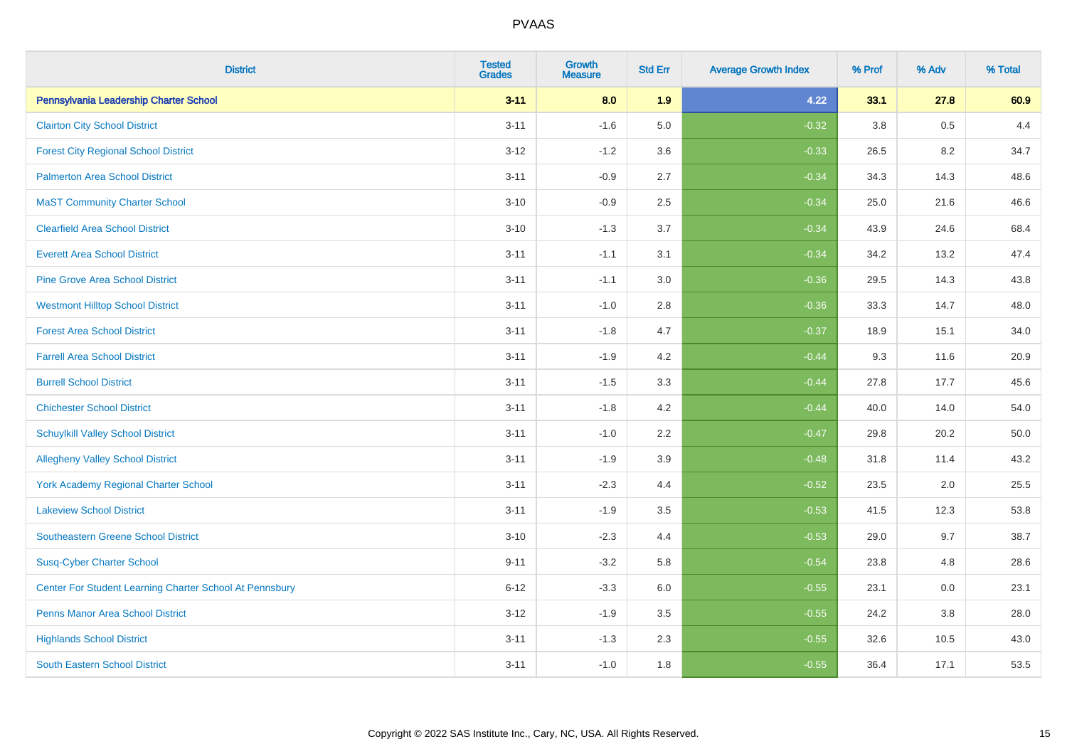| <b>District</b>                                         | <b>Tested</b><br><b>Grades</b> | <b>Growth</b><br><b>Measure</b> | <b>Std Err</b> | <b>Average Growth Index</b> | % Prof | % Adv | % Total |
|---------------------------------------------------------|--------------------------------|---------------------------------|----------------|-----------------------------|--------|-------|---------|
| Pennsylvania Leadership Charter School                  | $3 - 11$                       | 8.0                             | 1.9            | 4.22                        | 33.1   | 27.8  | 60.9    |
| <b>Clairton City School District</b>                    | $3 - 11$                       | $-1.6$                          | 5.0            | $-0.32$                     | 3.8    | 0.5   | 4.4     |
| <b>Forest City Regional School District</b>             | $3 - 12$                       | $-1.2$                          | 3.6            | $-0.33$                     | 26.5   | 8.2   | 34.7    |
| <b>Palmerton Area School District</b>                   | $3 - 11$                       | $-0.9$                          | 2.7            | $-0.34$                     | 34.3   | 14.3  | 48.6    |
| <b>MaST Community Charter School</b>                    | $3 - 10$                       | $-0.9$                          | 2.5            | $-0.34$                     | 25.0   | 21.6  | 46.6    |
| <b>Clearfield Area School District</b>                  | $3 - 10$                       | $-1.3$                          | 3.7            | $-0.34$                     | 43.9   | 24.6  | 68.4    |
| <b>Everett Area School District</b>                     | $3 - 11$                       | $-1.1$                          | 3.1            | $-0.34$                     | 34.2   | 13.2  | 47.4    |
| <b>Pine Grove Area School District</b>                  | $3 - 11$                       | $-1.1$                          | 3.0            | $-0.36$                     | 29.5   | 14.3  | 43.8    |
| <b>Westmont Hilltop School District</b>                 | $3 - 11$                       | $-1.0$                          | 2.8            | $-0.36$                     | 33.3   | 14.7  | 48.0    |
| <b>Forest Area School District</b>                      | $3 - 11$                       | $-1.8$                          | 4.7            | $-0.37$                     | 18.9   | 15.1  | 34.0    |
| <b>Farrell Area School District</b>                     | $3 - 11$                       | $-1.9$                          | 4.2            | $-0.44$                     | 9.3    | 11.6  | 20.9    |
| <b>Burrell School District</b>                          | $3 - 11$                       | $-1.5$                          | 3.3            | $-0.44$                     | 27.8   | 17.7  | 45.6    |
| <b>Chichester School District</b>                       | $3 - 11$                       | $-1.8$                          | 4.2            | $-0.44$                     | 40.0   | 14.0  | 54.0    |
| <b>Schuylkill Valley School District</b>                | $3 - 11$                       | $-1.0$                          | 2.2            | $-0.47$                     | 29.8   | 20.2  | 50.0    |
| <b>Allegheny Valley School District</b>                 | $3 - 11$                       | $-1.9$                          | 3.9            | $-0.48$                     | 31.8   | 11.4  | 43.2    |
| York Academy Regional Charter School                    | $3 - 11$                       | $-2.3$                          | 4.4            | $-0.52$                     | 23.5   | 2.0   | 25.5    |
| <b>Lakeview School District</b>                         | $3 - 11$                       | $-1.9$                          | 3.5            | $-0.53$                     | 41.5   | 12.3  | 53.8    |
| <b>Southeastern Greene School District</b>              | $3 - 10$                       | $-2.3$                          | 4.4            | $-0.53$                     | 29.0   | 9.7   | 38.7    |
| <b>Susq-Cyber Charter School</b>                        | $9 - 11$                       | $-3.2$                          | 5.8            | $-0.54$                     | 23.8   | 4.8   | 28.6    |
| Center For Student Learning Charter School At Pennsbury | $6 - 12$                       | $-3.3$                          | 6.0            | $-0.55$                     | 23.1   | 0.0   | 23.1    |
| <b>Penns Manor Area School District</b>                 | $3 - 12$                       | $-1.9$                          | 3.5            | $-0.55$                     | 24.2   | 3.8   | 28.0    |
| <b>Highlands School District</b>                        | $3 - 11$                       | $-1.3$                          | 2.3            | $-0.55$                     | 32.6   | 10.5  | 43.0    |
| <b>South Eastern School District</b>                    | $3 - 11$                       | $-1.0$                          | 1.8            | $-0.55$                     | 36.4   | 17.1  | 53.5    |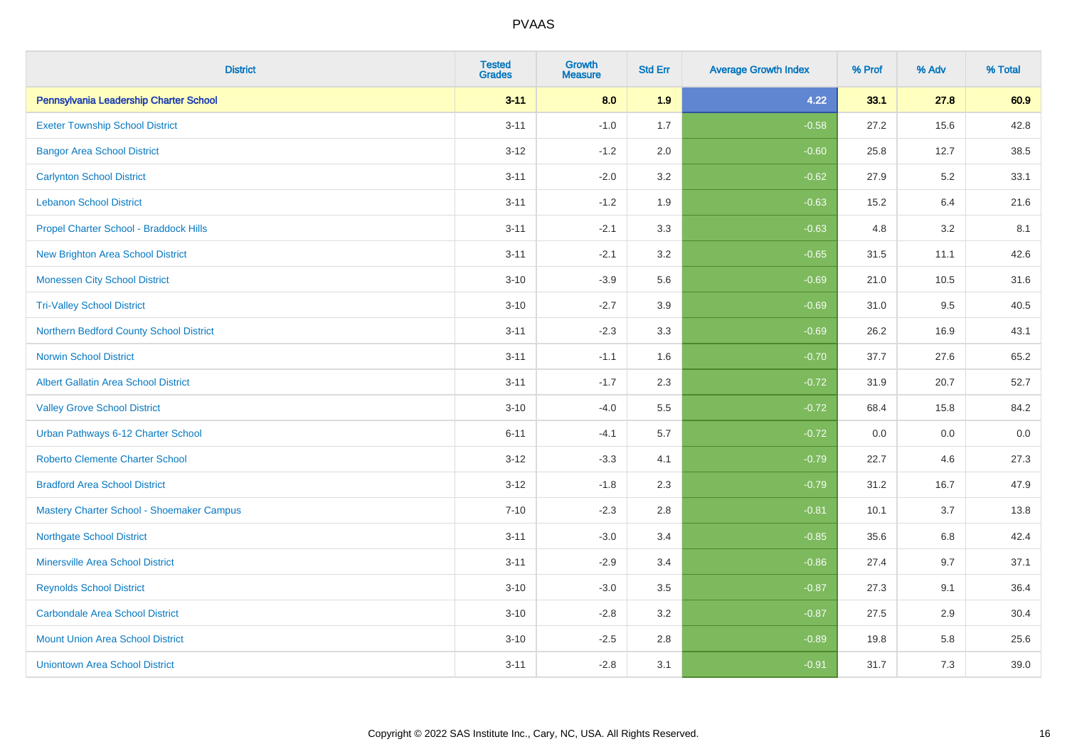| <b>District</b>                             | <b>Tested</b><br><b>Grades</b> | <b>Growth</b><br><b>Measure</b> | <b>Std Err</b> | <b>Average Growth Index</b> | % Prof | % Adv | % Total |
|---------------------------------------------|--------------------------------|---------------------------------|----------------|-----------------------------|--------|-------|---------|
| Pennsylvania Leadership Charter School      | $3 - 11$                       | 8.0                             | 1.9            | 4.22                        | 33.1   | 27.8  | 60.9    |
| <b>Exeter Township School District</b>      | $3 - 11$                       | $-1.0$                          | 1.7            | $-0.58$                     | 27.2   | 15.6  | 42.8    |
| <b>Bangor Area School District</b>          | $3 - 12$                       | $-1.2$                          | 2.0            | $-0.60$                     | 25.8   | 12.7  | 38.5    |
| <b>Carlynton School District</b>            | $3 - 11$                       | $-2.0$                          | 3.2            | $-0.62$                     | 27.9   | 5.2   | 33.1    |
| <b>Lebanon School District</b>              | $3 - 11$                       | $-1.2$                          | 1.9            | $-0.63$                     | 15.2   | 6.4   | 21.6    |
| Propel Charter School - Braddock Hills      | $3 - 11$                       | $-2.1$                          | 3.3            | $-0.63$                     | 4.8    | 3.2   | 8.1     |
| New Brighton Area School District           | $3 - 11$                       | $-2.1$                          | 3.2            | $-0.65$                     | 31.5   | 11.1  | 42.6    |
| <b>Monessen City School District</b>        | $3 - 10$                       | $-3.9$                          | 5.6            | $-0.69$                     | 21.0   | 10.5  | 31.6    |
| <b>Tri-Valley School District</b>           | $3 - 10$                       | $-2.7$                          | 3.9            | $-0.69$                     | 31.0   | 9.5   | 40.5    |
| Northern Bedford County School District     | $3 - 11$                       | $-2.3$                          | 3.3            | $-0.69$                     | 26.2   | 16.9  | 43.1    |
| <b>Norwin School District</b>               | $3 - 11$                       | $-1.1$                          | 1.6            | $-0.70$                     | 37.7   | 27.6  | 65.2    |
| <b>Albert Gallatin Area School District</b> | $3 - 11$                       | $-1.7$                          | 2.3            | $-0.72$                     | 31.9   | 20.7  | 52.7    |
| <b>Valley Grove School District</b>         | $3 - 10$                       | $-4.0$                          | 5.5            | $-0.72$                     | 68.4   | 15.8  | 84.2    |
| Urban Pathways 6-12 Charter School          | $6 - 11$                       | $-4.1$                          | 5.7            | $-0.72$                     | 0.0    | 0.0   | $0.0\,$ |
| <b>Roberto Clemente Charter School</b>      | $3 - 12$                       | $-3.3$                          | 4.1            | $-0.79$                     | 22.7   | 4.6   | 27.3    |
| <b>Bradford Area School District</b>        | $3 - 12$                       | $-1.8$                          | 2.3            | $-0.79$                     | 31.2   | 16.7  | 47.9    |
| Mastery Charter School - Shoemaker Campus   | $7 - 10$                       | $-2.3$                          | 2.8            | $-0.81$                     | 10.1   | 3.7   | 13.8    |
| <b>Northgate School District</b>            | $3 - 11$                       | $-3.0$                          | 3.4            | $-0.85$                     | 35.6   | 6.8   | 42.4    |
| <b>Minersville Area School District</b>     | $3 - 11$                       | $-2.9$                          | 3.4            | $-0.86$                     | 27.4   | 9.7   | 37.1    |
| <b>Reynolds School District</b>             | $3 - 10$                       | $-3.0$                          | 3.5            | $-0.87$                     | 27.3   | 9.1   | 36.4    |
| <b>Carbondale Area School District</b>      | $3 - 10$                       | $-2.8$                          | 3.2            | $-0.87$                     | 27.5   | 2.9   | 30.4    |
| <b>Mount Union Area School District</b>     | $3 - 10$                       | $-2.5$                          | 2.8            | $-0.89$                     | 19.8   | 5.8   | 25.6    |
| <b>Uniontown Area School District</b>       | $3 - 11$                       | $-2.8$                          | 3.1            | $-0.91$                     | 31.7   | 7.3   | 39.0    |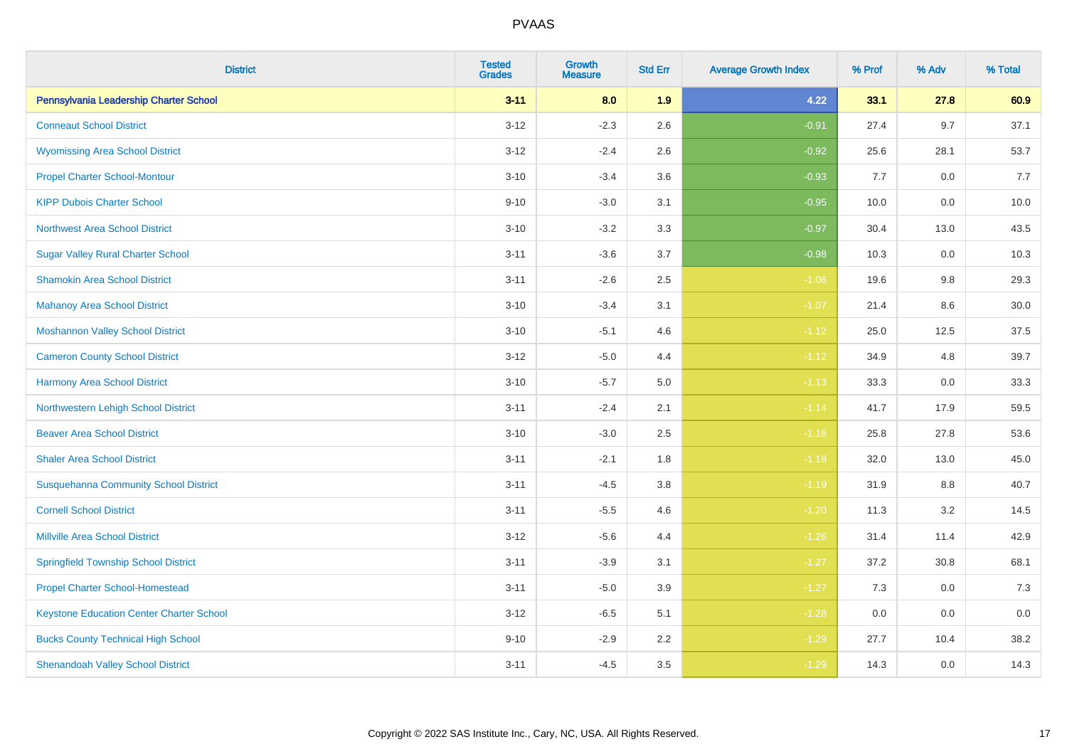| <b>District</b>                                 | <b>Tested</b><br><b>Grades</b> | <b>Growth</b><br><b>Measure</b> | <b>Std Err</b> | <b>Average Growth Index</b> | % Prof | % Adv | % Total |
|-------------------------------------------------|--------------------------------|---------------------------------|----------------|-----------------------------|--------|-------|---------|
| Pennsylvania Leadership Charter School          | $3 - 11$                       | 8.0                             | 1.9            | 4.22                        | 33.1   | 27.8  | 60.9    |
| <b>Conneaut School District</b>                 | $3-12$                         | $-2.3$                          | 2.6            | $-0.91$                     | 27.4   | 9.7   | 37.1    |
| <b>Wyomissing Area School District</b>          | $3 - 12$                       | $-2.4$                          | 2.6            | $-0.92$                     | 25.6   | 28.1  | 53.7    |
| <b>Propel Charter School-Montour</b>            | $3 - 10$                       | $-3.4$                          | 3.6            | $-0.93$                     | 7.7    | 0.0   | 7.7     |
| <b>KIPP Dubois Charter School</b>               | $9 - 10$                       | $-3.0$                          | 3.1            | $-0.95$                     | 10.0   | 0.0   | 10.0    |
| <b>Northwest Area School District</b>           | $3 - 10$                       | $-3.2$                          | 3.3            | $-0.97$                     | 30.4   | 13.0  | 43.5    |
| <b>Sugar Valley Rural Charter School</b>        | $3 - 11$                       | $-3.6$                          | 3.7            | $-0.98$                     | 10.3   | 0.0   | 10.3    |
| <b>Shamokin Area School District</b>            | $3 - 11$                       | $-2.6$                          | 2.5            | $-1.06$                     | 19.6   | 9.8   | 29.3    |
| <b>Mahanoy Area School District</b>             | $3 - 10$                       | $-3.4$                          | 3.1            | $-1.07$                     | 21.4   | 8.6   | 30.0    |
| <b>Moshannon Valley School District</b>         | $3 - 10$                       | $-5.1$                          | 4.6            | $-1.12$                     | 25.0   | 12.5  | 37.5    |
| <b>Cameron County School District</b>           | $3 - 12$                       | $-5.0$                          | 4.4            | $-1.12$                     | 34.9   | 4.8   | 39.7    |
| <b>Harmony Area School District</b>             | $3 - 10$                       | $-5.7$                          | 5.0            | $-1.13$                     | 33.3   | 0.0   | 33.3    |
| Northwestern Lehigh School District             | $3 - 11$                       | $-2.4$                          | 2.1            | $-1.14$                     | 41.7   | 17.9  | 59.5    |
| <b>Beaver Area School District</b>              | $3 - 10$                       | $-3.0$                          | 2.5            | $-1.16$                     | 25.8   | 27.8  | 53.6    |
| <b>Shaler Area School District</b>              | $3 - 11$                       | $-2.1$                          | 1.8            | $-1.18$                     | 32.0   | 13.0  | 45.0    |
| <b>Susquehanna Community School District</b>    | $3 - 11$                       | $-4.5$                          | 3.8            | $-1.19$                     | 31.9   | 8.8   | 40.7    |
| <b>Cornell School District</b>                  | $3 - 11$                       | $-5.5$                          | 4.6            | $-1.20$                     | 11.3   | 3.2   | 14.5    |
| <b>Millville Area School District</b>           | $3-12$                         | $-5.6$                          | 4.4            | $-1.26$                     | 31.4   | 11.4  | 42.9    |
| <b>Springfield Township School District</b>     | $3 - 11$                       | $-3.9$                          | 3.1            | $-1.27$                     | 37.2   | 30.8  | 68.1    |
| <b>Propel Charter School-Homestead</b>          | $3 - 11$                       | $-5.0$                          | 3.9            | $-1.27$                     | 7.3    | 0.0   | 7.3     |
| <b>Keystone Education Center Charter School</b> | $3 - 12$                       | $-6.5$                          | 5.1            | $-1.28$                     | 0.0    | 0.0   | 0.0     |
| <b>Bucks County Technical High School</b>       | $9 - 10$                       | $-2.9$                          | 2.2            | $-1.29$                     | 27.7   | 10.4  | 38.2    |
| <b>Shenandoah Valley School District</b>        | $3 - 11$                       | $-4.5$                          | 3.5            | $-1.29$                     | 14.3   | 0.0   | 14.3    |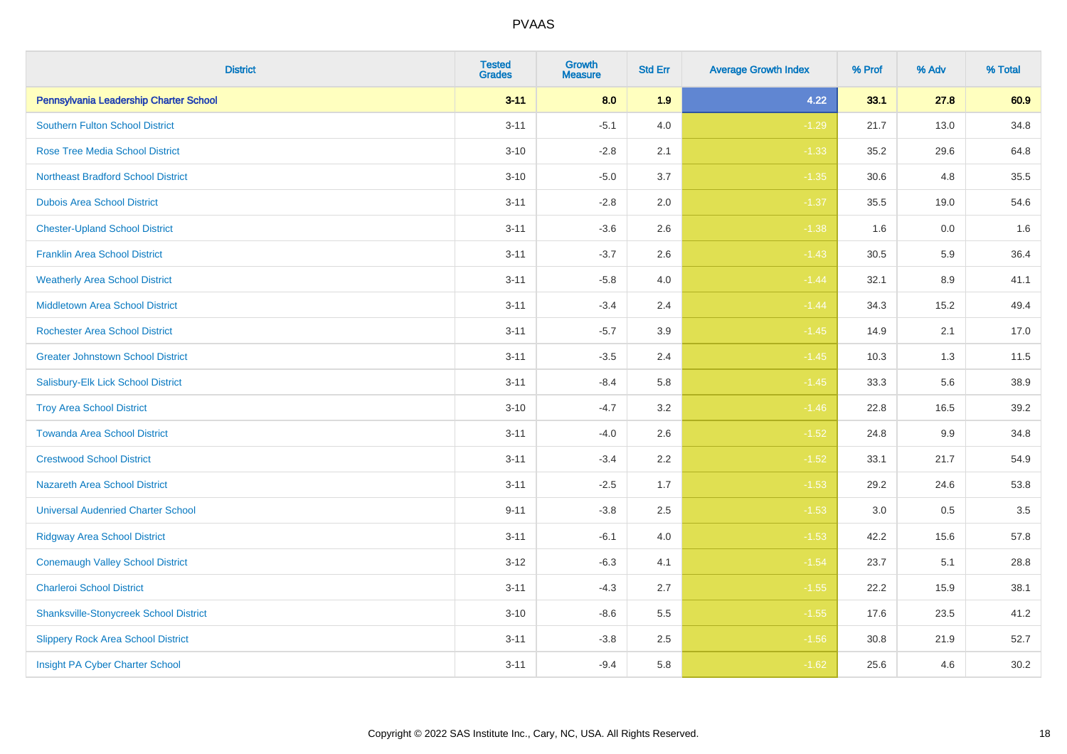| <b>District</b>                               | <b>Tested</b><br><b>Grades</b> | <b>Growth</b><br><b>Measure</b> | <b>Std Err</b> | <b>Average Growth Index</b> | % Prof | % Adv | % Total |
|-----------------------------------------------|--------------------------------|---------------------------------|----------------|-----------------------------|--------|-------|---------|
| Pennsylvania Leadership Charter School        | $3 - 11$                       | 8.0                             | 1.9            | 4.22                        | 33.1   | 27.8  | 60.9    |
| <b>Southern Fulton School District</b>        | $3 - 11$                       | $-5.1$                          | 4.0            | $-1.29$                     | 21.7   | 13.0  | 34.8    |
| <b>Rose Tree Media School District</b>        | $3 - 10$                       | $-2.8$                          | 2.1            | $-1.33$                     | 35.2   | 29.6  | 64.8    |
| <b>Northeast Bradford School District</b>     | $3 - 10$                       | $-5.0$                          | 3.7            | $-1.35$                     | 30.6   | 4.8   | 35.5    |
| <b>Dubois Area School District</b>            | $3 - 11$                       | $-2.8$                          | 2.0            | $-1.37$                     | 35.5   | 19.0  | 54.6    |
| <b>Chester-Upland School District</b>         | $3 - 11$                       | $-3.6$                          | 2.6            | $-1.38$                     | 1.6    | 0.0   | 1.6     |
| <b>Franklin Area School District</b>          | $3 - 11$                       | $-3.7$                          | 2.6            | $-1.43$                     | 30.5   | 5.9   | 36.4    |
| <b>Weatherly Area School District</b>         | $3 - 11$                       | $-5.8$                          | 4.0            | $-1.44$                     | 32.1   | 8.9   | 41.1    |
| <b>Middletown Area School District</b>        | $3 - 11$                       | $-3.4$                          | 2.4            | $-1.44$                     | 34.3   | 15.2  | 49.4    |
| <b>Rochester Area School District</b>         | $3 - 11$                       | $-5.7$                          | 3.9            | $-1.45$                     | 14.9   | 2.1   | 17.0    |
| <b>Greater Johnstown School District</b>      | $3 - 11$                       | $-3.5$                          | 2.4            | $-1.45$                     | 10.3   | 1.3   | 11.5    |
| Salisbury-Elk Lick School District            | $3 - 11$                       | $-8.4$                          | 5.8            | $-1.45$                     | 33.3   | 5.6   | 38.9    |
| <b>Troy Area School District</b>              | $3 - 10$                       | $-4.7$                          | 3.2            | $-1.46$                     | 22.8   | 16.5  | 39.2    |
| <b>Towanda Area School District</b>           | $3 - 11$                       | $-4.0$                          | 2.6            | $-1.52$                     | 24.8   | 9.9   | 34.8    |
| <b>Crestwood School District</b>              | $3 - 11$                       | $-3.4$                          | 2.2            | $-1.52$                     | 33.1   | 21.7  | 54.9    |
| <b>Nazareth Area School District</b>          | $3 - 11$                       | $-2.5$                          | 1.7            | $-1.53$                     | 29.2   | 24.6  | 53.8    |
| <b>Universal Audenried Charter School</b>     | $9 - 11$                       | $-3.8$                          | 2.5            | $-1.53$                     | 3.0    | 0.5   | 3.5     |
| <b>Ridgway Area School District</b>           | $3 - 11$                       | $-6.1$                          | 4.0            | $-1.53$                     | 42.2   | 15.6  | 57.8    |
| <b>Conemaugh Valley School District</b>       | $3 - 12$                       | $-6.3$                          | 4.1            | $-1.54$                     | 23.7   | 5.1   | 28.8    |
| <b>Charleroi School District</b>              | $3 - 11$                       | $-4.3$                          | 2.7            | $-1.55$                     | 22.2   | 15.9  | 38.1    |
| <b>Shanksville-Stonycreek School District</b> | $3 - 10$                       | $-8.6$                          | 5.5            | $-1.55$                     | 17.6   | 23.5  | 41.2    |
| <b>Slippery Rock Area School District</b>     | $3 - 11$                       | $-3.8$                          | 2.5            | $-1.56$                     | 30.8   | 21.9  | 52.7    |
| Insight PA Cyber Charter School               | $3 - 11$                       | $-9.4$                          | 5.8            | $-1.62$                     | 25.6   | 4.6   | 30.2    |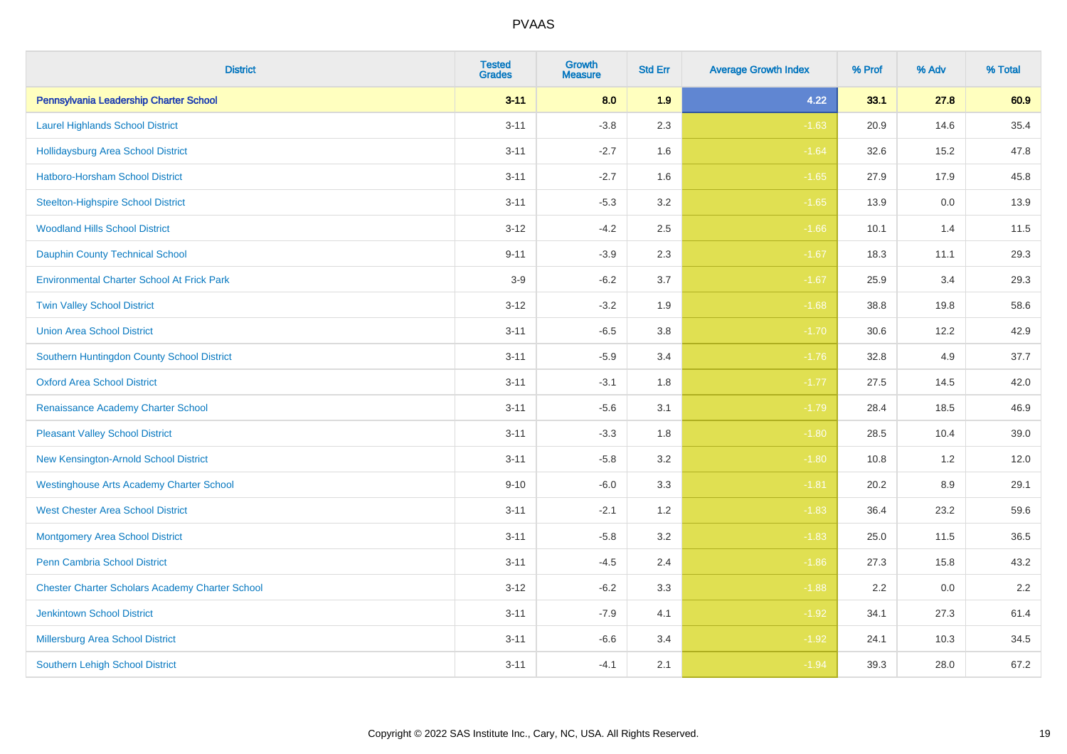| <b>District</b>                                        | <b>Tested</b><br><b>Grades</b> | <b>Growth</b><br><b>Measure</b> | <b>Std Err</b> | <b>Average Growth Index</b> | % Prof | % Adv   | % Total |
|--------------------------------------------------------|--------------------------------|---------------------------------|----------------|-----------------------------|--------|---------|---------|
| Pennsylvania Leadership Charter School                 | $3 - 11$                       | 8.0                             | 1.9            | 4.22                        | 33.1   | 27.8    | 60.9    |
| <b>Laurel Highlands School District</b>                | $3 - 11$                       | $-3.8$                          | 2.3            | $-1.63$                     | 20.9   | 14.6    | 35.4    |
| <b>Hollidaysburg Area School District</b>              | $3 - 11$                       | $-2.7$                          | 1.6            | $-1.64$                     | 32.6   | 15.2    | 47.8    |
| <b>Hatboro-Horsham School District</b>                 | $3 - 11$                       | $-2.7$                          | 1.6            | $-1.65$                     | 27.9   | 17.9    | 45.8    |
| <b>Steelton-Highspire School District</b>              | $3 - 11$                       | $-5.3$                          | 3.2            | $-1.65$                     | 13.9   | 0.0     | 13.9    |
| <b>Woodland Hills School District</b>                  | $3 - 12$                       | $-4.2$                          | 2.5            | $-1.66$                     | 10.1   | 1.4     | 11.5    |
| <b>Dauphin County Technical School</b>                 | $9 - 11$                       | $-3.9$                          | 2.3            | $-1.67$                     | 18.3   | 11.1    | 29.3    |
| <b>Environmental Charter School At Frick Park</b>      | $3-9$                          | $-6.2$                          | 3.7            | $-1.67$                     | 25.9   | 3.4     | 29.3    |
| <b>Twin Valley School District</b>                     | $3 - 12$                       | $-3.2$                          | 1.9            | $-1.68$                     | 38.8   | 19.8    | 58.6    |
| <b>Union Area School District</b>                      | $3 - 11$                       | $-6.5$                          | 3.8            | $-1.70$                     | 30.6   | 12.2    | 42.9    |
| Southern Huntingdon County School District             | $3 - 11$                       | $-5.9$                          | 3.4            | $-1.76$                     | 32.8   | 4.9     | 37.7    |
| <b>Oxford Area School District</b>                     | $3 - 11$                       | $-3.1$                          | 1.8            | $-1.77$                     | 27.5   | 14.5    | 42.0    |
| Renaissance Academy Charter School                     | $3 - 11$                       | $-5.6$                          | 3.1            | $-1.79$                     | 28.4   | 18.5    | 46.9    |
| <b>Pleasant Valley School District</b>                 | $3 - 11$                       | $-3.3$                          | 1.8            | $-1.80$                     | 28.5   | 10.4    | 39.0    |
| New Kensington-Arnold School District                  | $3 - 11$                       | $-5.8$                          | 3.2            | $-1.80$                     | 10.8   | 1.2     | 12.0    |
| <b>Westinghouse Arts Academy Charter School</b>        | $9 - 10$                       | $-6.0$                          | 3.3            | $-1.81$                     | 20.2   | $8.9\,$ | 29.1    |
| <b>West Chester Area School District</b>               | $3 - 11$                       | $-2.1$                          | 1.2            | $-1.83$                     | 36.4   | 23.2    | 59.6    |
| <b>Montgomery Area School District</b>                 | $3 - 11$                       | $-5.8$                          | 3.2            | $-1.83$                     | 25.0   | 11.5    | 36.5    |
| Penn Cambria School District                           | $3 - 11$                       | $-4.5$                          | 2.4            | $-1.86$                     | 27.3   | 15.8    | 43.2    |
| <b>Chester Charter Scholars Academy Charter School</b> | $3 - 12$                       | $-6.2$                          | 3.3            | $-1.88$                     | 2.2    | 0.0     | 2.2     |
| <b>Jenkintown School District</b>                      | $3 - 11$                       | $-7.9$                          | 4.1            | $-1.92$                     | 34.1   | 27.3    | 61.4    |
| <b>Millersburg Area School District</b>                | $3 - 11$                       | $-6.6$                          | 3.4            | $-1.92$                     | 24.1   | 10.3    | 34.5    |
| <b>Southern Lehigh School District</b>                 | $3 - 11$                       | $-4.1$                          | 2.1            | $-1.94$                     | 39.3   | 28.0    | 67.2    |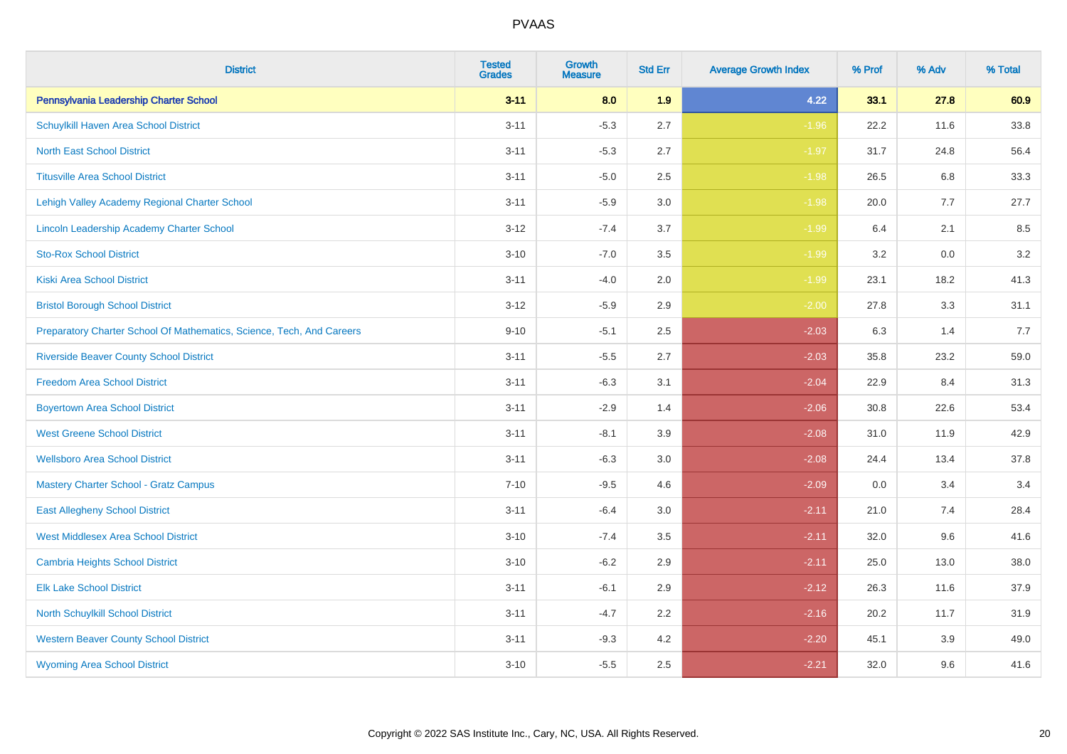| <b>District</b>                                                       | <b>Tested</b><br><b>Grades</b> | <b>Growth</b><br><b>Measure</b> | <b>Std Err</b> | <b>Average Growth Index</b> | % Prof | % Adv   | % Total |
|-----------------------------------------------------------------------|--------------------------------|---------------------------------|----------------|-----------------------------|--------|---------|---------|
| Pennsylvania Leadership Charter School                                | $3 - 11$                       | 8.0                             | 1.9            | 4.22                        | 33.1   | 27.8    | 60.9    |
| <b>Schuylkill Haven Area School District</b>                          | $3 - 11$                       | $-5.3$                          | 2.7            | $-1.96$                     | 22.2   | 11.6    | 33.8    |
| <b>North East School District</b>                                     | $3 - 11$                       | $-5.3$                          | 2.7            | $-1.97$                     | 31.7   | 24.8    | 56.4    |
| <b>Titusville Area School District</b>                                | $3 - 11$                       | $-5.0$                          | 2.5            | $-1.98$                     | 26.5   | 6.8     | 33.3    |
| Lehigh Valley Academy Regional Charter School                         | $3 - 11$                       | $-5.9$                          | 3.0            | $-1.98$                     | 20.0   | 7.7     | 27.7    |
| Lincoln Leadership Academy Charter School                             | $3 - 12$                       | $-7.4$                          | 3.7            | $-1.99$                     | 6.4    | 2.1     | 8.5     |
| <b>Sto-Rox School District</b>                                        | $3 - 10$                       | $-7.0$                          | 3.5            | $-1.99$                     | 3.2    | $0.0\,$ | 3.2     |
| <b>Kiski Area School District</b>                                     | $3 - 11$                       | $-4.0$                          | 2.0            | $-1.99$                     | 23.1   | 18.2    | 41.3    |
| <b>Bristol Borough School District</b>                                | $3 - 12$                       | $-5.9$                          | 2.9            | $-2.00$                     | 27.8   | 3.3     | 31.1    |
| Preparatory Charter School Of Mathematics, Science, Tech, And Careers | $9 - 10$                       | $-5.1$                          | 2.5            | $-2.03$                     | 6.3    | 1.4     | 7.7     |
| <b>Riverside Beaver County School District</b>                        | $3 - 11$                       | $-5.5$                          | 2.7            | $-2.03$                     | 35.8   | 23.2    | 59.0    |
| <b>Freedom Area School District</b>                                   | $3 - 11$                       | $-6.3$                          | 3.1            | $-2.04$                     | 22.9   | 8.4     | 31.3    |
| <b>Boyertown Area School District</b>                                 | $3 - 11$                       | $-2.9$                          | 1.4            | $-2.06$                     | 30.8   | 22.6    | 53.4    |
| <b>West Greene School District</b>                                    | $3 - 11$                       | $-8.1$                          | 3.9            | $-2.08$                     | 31.0   | 11.9    | 42.9    |
| <b>Wellsboro Area School District</b>                                 | $3 - 11$                       | $-6.3$                          | 3.0            | $-2.08$                     | 24.4   | 13.4    | 37.8    |
| <b>Mastery Charter School - Gratz Campus</b>                          | $7 - 10$                       | $-9.5$                          | 4.6            | $-2.09$                     | 0.0    | 3.4     | 3.4     |
| <b>East Allegheny School District</b>                                 | $3 - 11$                       | $-6.4$                          | 3.0            | $-2.11$                     | 21.0   | 7.4     | 28.4    |
| <b>West Middlesex Area School District</b>                            | $3 - 10$                       | $-7.4$                          | 3.5            | $-2.11$                     | 32.0   | 9.6     | 41.6    |
| <b>Cambria Heights School District</b>                                | $3 - 10$                       | $-6.2$                          | 2.9            | $-2.11$                     | 25.0   | 13.0    | 38.0    |
| <b>Elk Lake School District</b>                                       | $3 - 11$                       | $-6.1$                          | 2.9            | $-2.12$                     | 26.3   | 11.6    | 37.9    |
| North Schuylkill School District                                      | $3 - 11$                       | $-4.7$                          | 2.2            | $-2.16$                     | 20.2   | 11.7    | 31.9    |
| <b>Western Beaver County School District</b>                          | $3 - 11$                       | $-9.3$                          | 4.2            | $-2.20$                     | 45.1   | 3.9     | 49.0    |
| <b>Wyoming Area School District</b>                                   | $3 - 10$                       | $-5.5$                          | 2.5            | $-2.21$                     | 32.0   | 9.6     | 41.6    |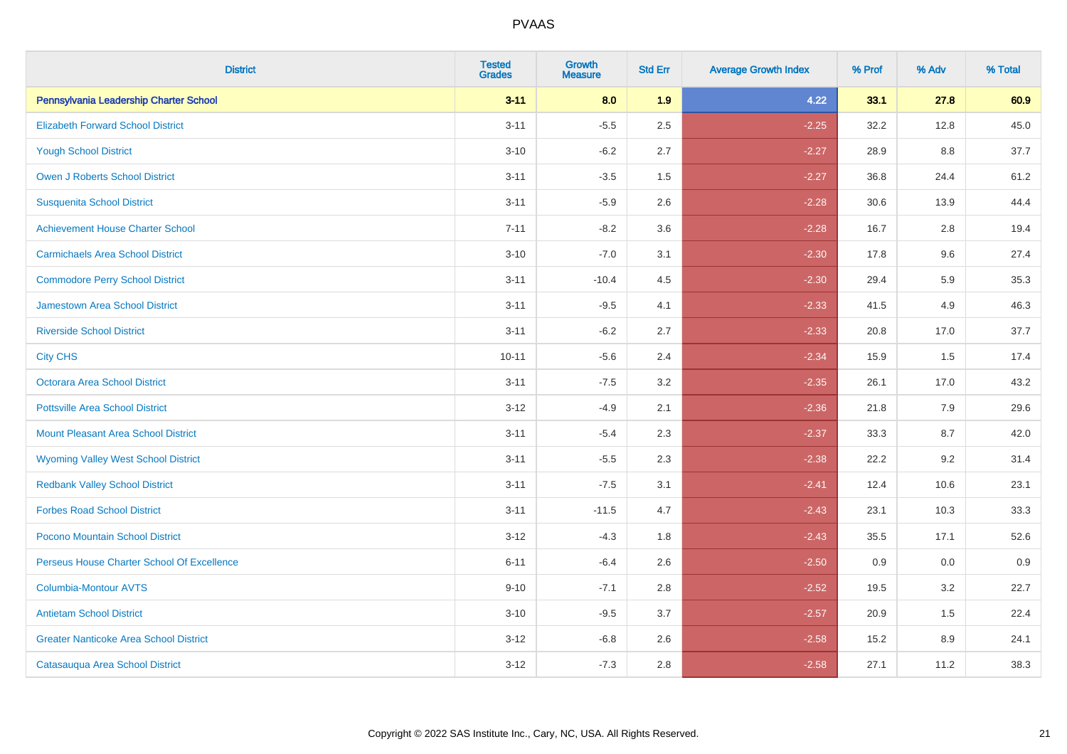| <b>District</b>                               | <b>Tested</b><br><b>Grades</b> | <b>Growth</b><br><b>Measure</b> | <b>Std Err</b> | <b>Average Growth Index</b> | % Prof | % Adv | % Total |
|-----------------------------------------------|--------------------------------|---------------------------------|----------------|-----------------------------|--------|-------|---------|
| Pennsylvania Leadership Charter School        | $3 - 11$                       | 8.0                             | 1.9            | 4.22                        | 33.1   | 27.8  | 60.9    |
| <b>Elizabeth Forward School District</b>      | $3 - 11$                       | $-5.5$                          | 2.5            | $-2.25$                     | 32.2   | 12.8  | 45.0    |
| <b>Yough School District</b>                  | $3 - 10$                       | $-6.2$                          | 2.7            | $-2.27$                     | 28.9   | 8.8   | 37.7    |
| <b>Owen J Roberts School District</b>         | $3 - 11$                       | $-3.5$                          | 1.5            | $-2.27$                     | 36.8   | 24.4  | 61.2    |
| <b>Susquenita School District</b>             | $3 - 11$                       | $-5.9$                          | 2.6            | $-2.28$                     | 30.6   | 13.9  | 44.4    |
| <b>Achievement House Charter School</b>       | $7 - 11$                       | $-8.2$                          | 3.6            | $-2.28$                     | 16.7   | 2.8   | 19.4    |
| <b>Carmichaels Area School District</b>       | $3 - 10$                       | $-7.0$                          | 3.1            | $-2.30$                     | 17.8   | 9.6   | 27.4    |
| <b>Commodore Perry School District</b>        | $3 - 11$                       | $-10.4$                         | 4.5            | $-2.30$                     | 29.4   | 5.9   | 35.3    |
| Jamestown Area School District                | $3 - 11$                       | $-9.5$                          | 4.1            | $-2.33$                     | 41.5   | 4.9   | 46.3    |
| <b>Riverside School District</b>              | $3 - 11$                       | $-6.2$                          | 2.7            | $-2.33$                     | 20.8   | 17.0  | 37.7    |
| <b>City CHS</b>                               | $10 - 11$                      | $-5.6$                          | 2.4            | $-2.34$                     | 15.9   | 1.5   | 17.4    |
| Octorara Area School District                 | $3 - 11$                       | $-7.5$                          | 3.2            | $-2.35$                     | 26.1   | 17.0  | 43.2    |
| <b>Pottsville Area School District</b>        | $3 - 12$                       | $-4.9$                          | 2.1            | $-2.36$                     | 21.8   | 7.9   | 29.6    |
| <b>Mount Pleasant Area School District</b>    | $3 - 11$                       | $-5.4$                          | 2.3            | $-2.37$                     | 33.3   | 8.7   | 42.0    |
| <b>Wyoming Valley West School District</b>    | $3 - 11$                       | $-5.5$                          | 2.3            | $-2.38$                     | 22.2   | 9.2   | 31.4    |
| <b>Redbank Valley School District</b>         | $3 - 11$                       | $-7.5$                          | 3.1            | $-2.41$                     | 12.4   | 10.6  | 23.1    |
| <b>Forbes Road School District</b>            | $3 - 11$                       | $-11.5$                         | 4.7            | $-2.43$                     | 23.1   | 10.3  | 33.3    |
| Pocono Mountain School District               | $3 - 12$                       | $-4.3$                          | 1.8            | $-2.43$                     | 35.5   | 17.1  | 52.6    |
| Perseus House Charter School Of Excellence    | $6 - 11$                       | $-6.4$                          | 2.6            | $-2.50$                     | 0.9    | 0.0   | 0.9     |
| <b>Columbia-Montour AVTS</b>                  | $9 - 10$                       | $-7.1$                          | 2.8            | $-2.52$                     | 19.5   | 3.2   | 22.7    |
| <b>Antietam School District</b>               | $3 - 10$                       | $-9.5$                          | 3.7            | $-2.57$                     | 20.9   | 1.5   | 22.4    |
| <b>Greater Nanticoke Area School District</b> | $3 - 12$                       | $-6.8$                          | 2.6            | $-2.58$                     | 15.2   | 8.9   | 24.1    |
| Catasauqua Area School District               | $3 - 12$                       | $-7.3$                          | 2.8            | $-2.58$                     | 27.1   | 11.2  | 38.3    |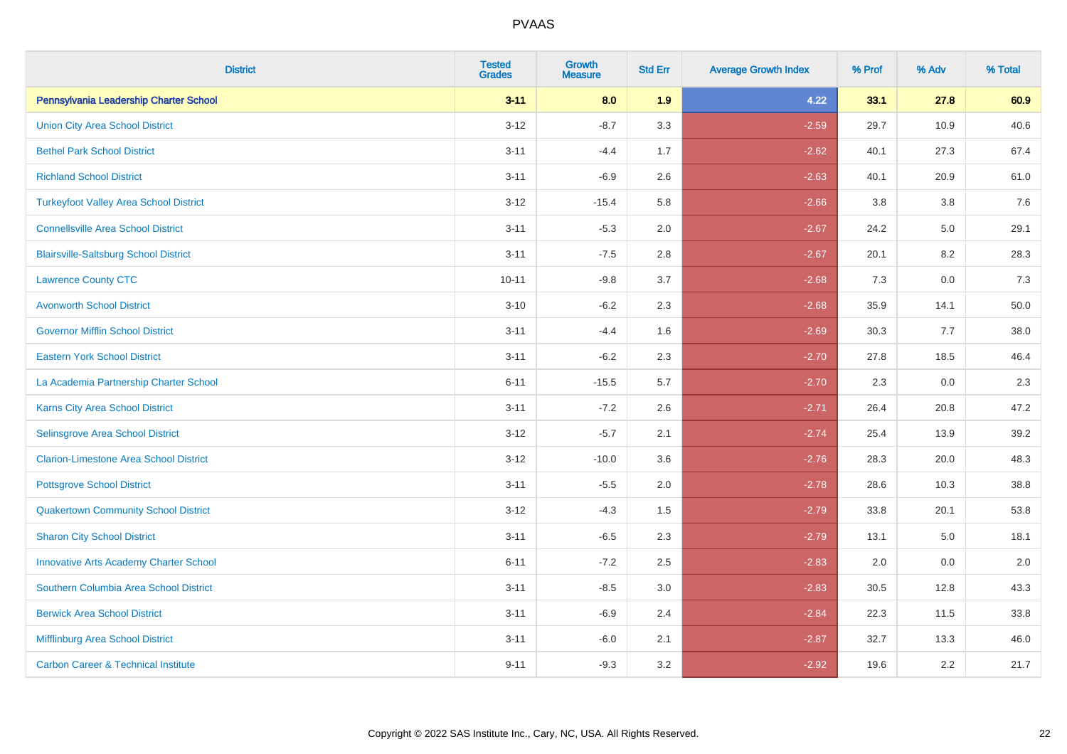| <b>District</b>                                | <b>Tested</b><br><b>Grades</b> | <b>Growth</b><br><b>Measure</b> | <b>Std Err</b> | <b>Average Growth Index</b> | % Prof | % Adv   | % Total |
|------------------------------------------------|--------------------------------|---------------------------------|----------------|-----------------------------|--------|---------|---------|
| Pennsylvania Leadership Charter School         | $3 - 11$                       | 8.0                             | 1.9            | 4.22                        | 33.1   | 27.8    | 60.9    |
| <b>Union City Area School District</b>         | $3 - 12$                       | $-8.7$                          | 3.3            | $-2.59$                     | 29.7   | 10.9    | 40.6    |
| <b>Bethel Park School District</b>             | $3 - 11$                       | $-4.4$                          | 1.7            | $-2.62$                     | 40.1   | 27.3    | 67.4    |
| <b>Richland School District</b>                | $3 - 11$                       | $-6.9$                          | 2.6            | $-2.63$                     | 40.1   | 20.9    | 61.0    |
| <b>Turkeyfoot Valley Area School District</b>  | $3 - 12$                       | $-15.4$                         | 5.8            | $-2.66$                     | 3.8    | 3.8     | 7.6     |
| <b>Connellsville Area School District</b>      | $3 - 11$                       | $-5.3$                          | 2.0            | $-2.67$                     | 24.2   | $5.0\,$ | 29.1    |
| <b>Blairsville-Saltsburg School District</b>   | $3 - 11$                       | $-7.5$                          | 2.8            | $-2.67$                     | 20.1   | 8.2     | 28.3    |
| <b>Lawrence County CTC</b>                     | $10 - 11$                      | $-9.8$                          | 3.7            | $-2.68$                     | 7.3    | 0.0     | 7.3     |
| <b>Avonworth School District</b>               | $3 - 10$                       | $-6.2$                          | 2.3            | $-2.68$                     | 35.9   | 14.1    | 50.0    |
| <b>Governor Mifflin School District</b>        | $3 - 11$                       | $-4.4$                          | 1.6            | $-2.69$                     | 30.3   | 7.7     | 38.0    |
| <b>Eastern York School District</b>            | $3 - 11$                       | $-6.2$                          | 2.3            | $-2.70$                     | 27.8   | 18.5    | 46.4    |
| La Academia Partnership Charter School         | $6 - 11$                       | $-15.5$                         | 5.7            | $-2.70$                     | 2.3    | 0.0     | 2.3     |
| Karns City Area School District                | $3 - 11$                       | $-7.2$                          | 2.6            | $-2.71$                     | 26.4   | 20.8    | 47.2    |
| Selinsgrove Area School District               | $3 - 12$                       | $-5.7$                          | 2.1            | $-2.74$                     | 25.4   | 13.9    | 39.2    |
| <b>Clarion-Limestone Area School District</b>  | $3 - 12$                       | $-10.0$                         | 3.6            | $-2.76$                     | 28.3   | 20.0    | 48.3    |
| <b>Pottsgrove School District</b>              | $3 - 11$                       | $-5.5$                          | 2.0            | $-2.78$                     | 28.6   | 10.3    | 38.8    |
| <b>Quakertown Community School District</b>    | $3 - 12$                       | $-4.3$                          | 1.5            | $-2.79$                     | 33.8   | 20.1    | 53.8    |
| <b>Sharon City School District</b>             | $3 - 11$                       | $-6.5$                          | 2.3            | $-2.79$                     | 13.1   | 5.0     | 18.1    |
| <b>Innovative Arts Academy Charter School</b>  | $6 - 11$                       | $-7.2$                          | 2.5            | $-2.83$                     | 2.0    | 0.0     | 2.0     |
| Southern Columbia Area School District         | $3 - 11$                       | $-8.5$                          | 3.0            | $-2.83$                     | 30.5   | 12.8    | 43.3    |
| <b>Berwick Area School District</b>            | $3 - 11$                       | $-6.9$                          | 2.4            | $-2.84$                     | 22.3   | 11.5    | 33.8    |
| Mifflinburg Area School District               | $3 - 11$                       | $-6.0$                          | 2.1            | $-2.87$                     | 32.7   | 13.3    | 46.0    |
| <b>Carbon Career &amp; Technical Institute</b> | $9 - 11$                       | $-9.3$                          | 3.2            | $-2.92$                     | 19.6   | 2.2     | 21.7    |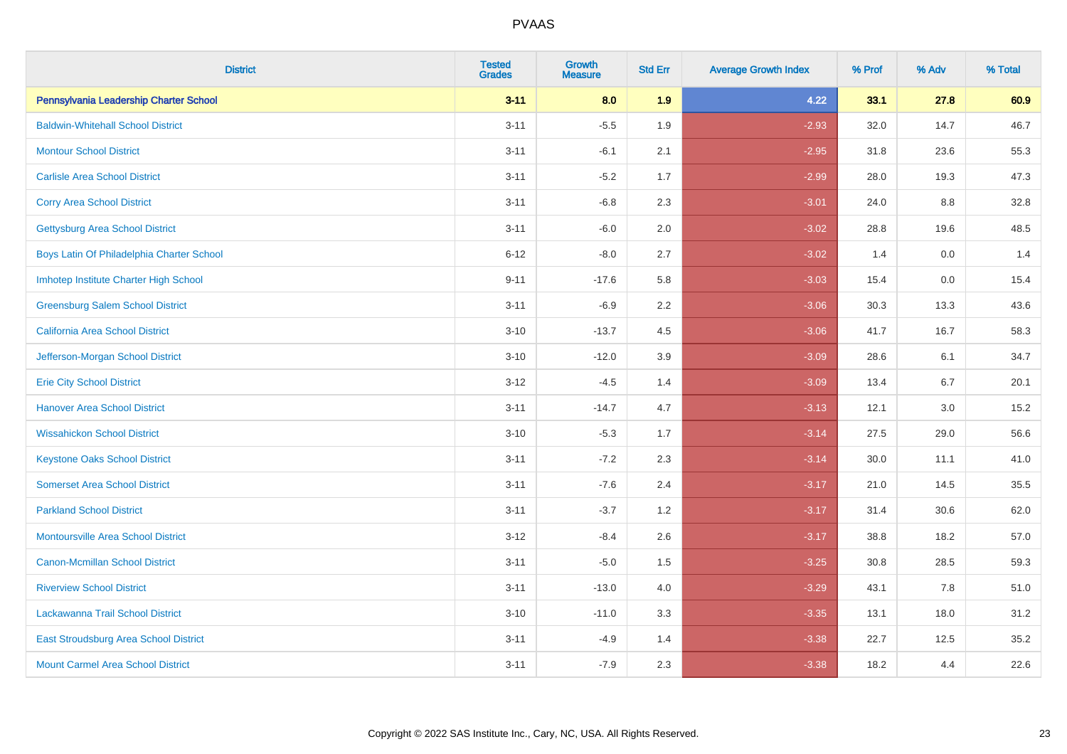| <b>District</b>                              | <b>Tested</b><br><b>Grades</b> | <b>Growth</b><br><b>Measure</b> | <b>Std Err</b> | <b>Average Growth Index</b> | % Prof | % Adv | % Total |
|----------------------------------------------|--------------------------------|---------------------------------|----------------|-----------------------------|--------|-------|---------|
| Pennsylvania Leadership Charter School       | $3 - 11$                       | 8.0                             | 1.9            | 4.22                        | 33.1   | 27.8  | 60.9    |
| <b>Baldwin-Whitehall School District</b>     | $3 - 11$                       | $-5.5$                          | 1.9            | $-2.93$                     | 32.0   | 14.7  | 46.7    |
| <b>Montour School District</b>               | $3 - 11$                       | $-6.1$                          | 2.1            | $-2.95$                     | 31.8   | 23.6  | 55.3    |
| <b>Carlisle Area School District</b>         | $3 - 11$                       | $-5.2$                          | 1.7            | $-2.99$                     | 28.0   | 19.3  | 47.3    |
| <b>Corry Area School District</b>            | $3 - 11$                       | $-6.8$                          | 2.3            | $-3.01$                     | 24.0   | 8.8   | 32.8    |
| <b>Gettysburg Area School District</b>       | $3 - 11$                       | $-6.0$                          | 2.0            | $-3.02$                     | 28.8   | 19.6  | 48.5    |
| Boys Latin Of Philadelphia Charter School    | $6 - 12$                       | $-8.0$                          | 2.7            | $-3.02$                     | 1.4    | 0.0   | 1.4     |
| Imhotep Institute Charter High School        | $9 - 11$                       | $-17.6$                         | 5.8            | $-3.03$                     | 15.4   | 0.0   | 15.4    |
| <b>Greensburg Salem School District</b>      | $3 - 11$                       | $-6.9$                          | 2.2            | $-3.06$                     | 30.3   | 13.3  | 43.6    |
| California Area School District              | $3 - 10$                       | $-13.7$                         | 4.5            | $-3.06$                     | 41.7   | 16.7  | 58.3    |
| Jefferson-Morgan School District             | $3 - 10$                       | $-12.0$                         | 3.9            | $-3.09$                     | 28.6   | 6.1   | 34.7    |
| <b>Erie City School District</b>             | $3 - 12$                       | $-4.5$                          | 1.4            | $-3.09$                     | 13.4   | 6.7   | 20.1    |
| <b>Hanover Area School District</b>          | $3 - 11$                       | $-14.7$                         | 4.7            | $-3.13$                     | 12.1   | 3.0   | 15.2    |
| <b>Wissahickon School District</b>           | $3 - 10$                       | $-5.3$                          | 1.7            | $-3.14$                     | 27.5   | 29.0  | 56.6    |
| <b>Keystone Oaks School District</b>         | $3 - 11$                       | $-7.2$                          | 2.3            | $-3.14$                     | 30.0   | 11.1  | 41.0    |
| <b>Somerset Area School District</b>         | $3 - 11$                       | $-7.6$                          | 2.4            | $-3.17$                     | 21.0   | 14.5  | 35.5    |
| <b>Parkland School District</b>              | $3 - 11$                       | $-3.7$                          | 1.2            | $-3.17$                     | 31.4   | 30.6  | 62.0    |
| <b>Montoursville Area School District</b>    | $3 - 12$                       | $-8.4$                          | 2.6            | $-3.17$                     | 38.8   | 18.2  | 57.0    |
| <b>Canon-Mcmillan School District</b>        | $3 - 11$                       | $-5.0$                          | 1.5            | $-3.25$                     | 30.8   | 28.5  | 59.3    |
| <b>Riverview School District</b>             | $3 - 11$                       | $-13.0$                         | 4.0            | $-3.29$                     | 43.1   | 7.8   | 51.0    |
| Lackawanna Trail School District             | $3 - 10$                       | $-11.0$                         | 3.3            | $-3.35$                     | 13.1   | 18.0  | 31.2    |
| <b>East Stroudsburg Area School District</b> | $3 - 11$                       | $-4.9$                          | 1.4            | $-3.38$                     | 22.7   | 12.5  | 35.2    |
| <b>Mount Carmel Area School District</b>     | $3 - 11$                       | $-7.9$                          | 2.3            | $-3.38$                     | 18.2   | 4.4   | 22.6    |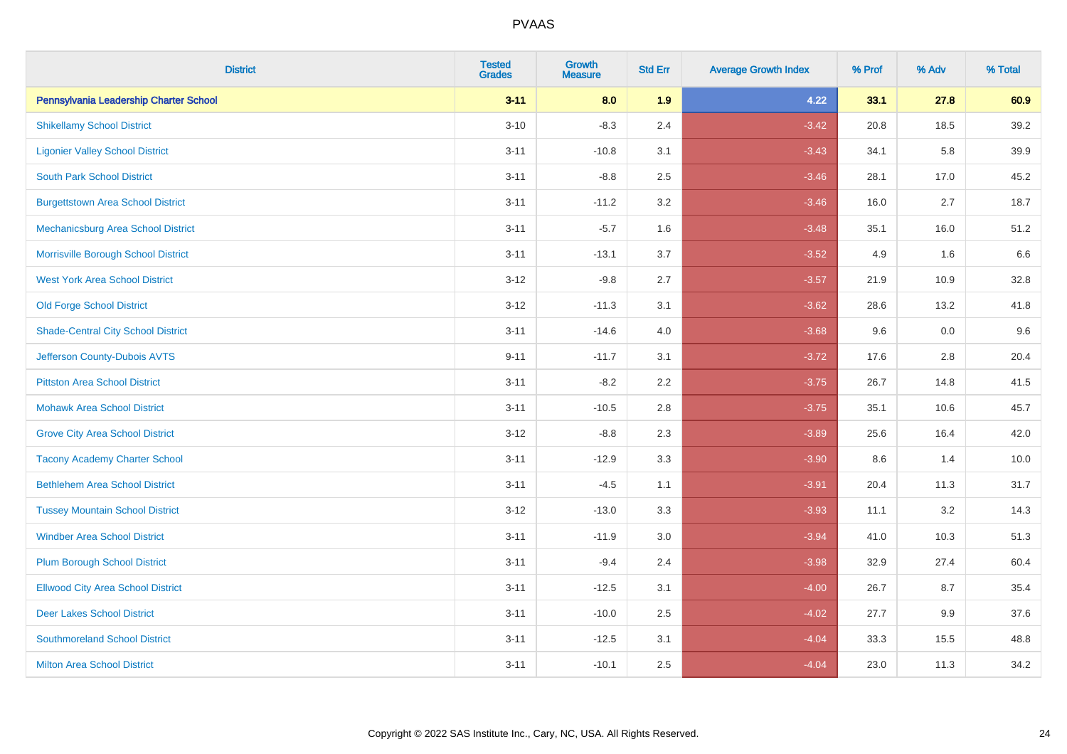| <b>District</b>                           | <b>Tested</b><br><b>Grades</b> | <b>Growth</b><br><b>Measure</b> | <b>Std Err</b> | <b>Average Growth Index</b> | % Prof | % Adv | % Total |
|-------------------------------------------|--------------------------------|---------------------------------|----------------|-----------------------------|--------|-------|---------|
| Pennsylvania Leadership Charter School    | $3 - 11$                       | 8.0                             | 1.9            | 4.22                        | 33.1   | 27.8  | 60.9    |
| <b>Shikellamy School District</b>         | $3 - 10$                       | $-8.3$                          | 2.4            | $-3.42$                     | 20.8   | 18.5  | 39.2    |
| <b>Ligonier Valley School District</b>    | $3 - 11$                       | $-10.8$                         | 3.1            | $-3.43$                     | 34.1   | 5.8   | 39.9    |
| <b>South Park School District</b>         | $3 - 11$                       | $-8.8$                          | 2.5            | $-3.46$                     | 28.1   | 17.0  | 45.2    |
| <b>Burgettstown Area School District</b>  | $3 - 11$                       | $-11.2$                         | 3.2            | $-3.46$                     | 16.0   | 2.7   | 18.7    |
| Mechanicsburg Area School District        | $3 - 11$                       | $-5.7$                          | 1.6            | $-3.48$                     | 35.1   | 16.0  | 51.2    |
| Morrisville Borough School District       | $3 - 11$                       | $-13.1$                         | 3.7            | $-3.52$                     | 4.9    | 1.6   | 6.6     |
| <b>West York Area School District</b>     | $3 - 12$                       | $-9.8$                          | 2.7            | $-3.57$                     | 21.9   | 10.9  | 32.8    |
| <b>Old Forge School District</b>          | $3 - 12$                       | $-11.3$                         | 3.1            | $-3.62$                     | 28.6   | 13.2  | 41.8    |
| <b>Shade-Central City School District</b> | $3 - 11$                       | $-14.6$                         | 4.0            | $-3.68$                     | 9.6    | 0.0   | 9.6     |
| Jefferson County-Dubois AVTS              | $9 - 11$                       | $-11.7$                         | 3.1            | $-3.72$                     | 17.6   | 2.8   | 20.4    |
| <b>Pittston Area School District</b>      | $3 - 11$                       | $-8.2$                          | 2.2            | $-3.75$                     | 26.7   | 14.8  | 41.5    |
| <b>Mohawk Area School District</b>        | $3 - 11$                       | $-10.5$                         | 2.8            | $-3.75$                     | 35.1   | 10.6  | 45.7    |
| <b>Grove City Area School District</b>    | $3 - 12$                       | $-8.8$                          | 2.3            | $-3.89$                     | 25.6   | 16.4  | 42.0    |
| <b>Tacony Academy Charter School</b>      | $3 - 11$                       | $-12.9$                         | 3.3            | $-3.90$                     | 8.6    | 1.4   | 10.0    |
| <b>Bethlehem Area School District</b>     | $3 - 11$                       | $-4.5$                          | 1.1            | $-3.91$                     | 20.4   | 11.3  | 31.7    |
| <b>Tussey Mountain School District</b>    | $3 - 12$                       | $-13.0$                         | 3.3            | $-3.93$                     | 11.1   | 3.2   | 14.3    |
| <b>Windber Area School District</b>       | $3 - 11$                       | $-11.9$                         | 3.0            | $-3.94$                     | 41.0   | 10.3  | 51.3    |
| <b>Plum Borough School District</b>       | $3 - 11$                       | $-9.4$                          | 2.4            | $-3.98$                     | 32.9   | 27.4  | 60.4    |
| <b>Ellwood City Area School District</b>  | $3 - 11$                       | $-12.5$                         | 3.1            | $-4.00$                     | 26.7   | 8.7   | 35.4    |
| <b>Deer Lakes School District</b>         | $3 - 11$                       | $-10.0$                         | 2.5            | $-4.02$                     | 27.7   | 9.9   | 37.6    |
| <b>Southmoreland School District</b>      | $3 - 11$                       | $-12.5$                         | 3.1            | $-4.04$                     | 33.3   | 15.5  | 48.8    |
| <b>Milton Area School District</b>        | $3 - 11$                       | $-10.1$                         | 2.5            | $-4.04$                     | 23.0   | 11.3  | 34.2    |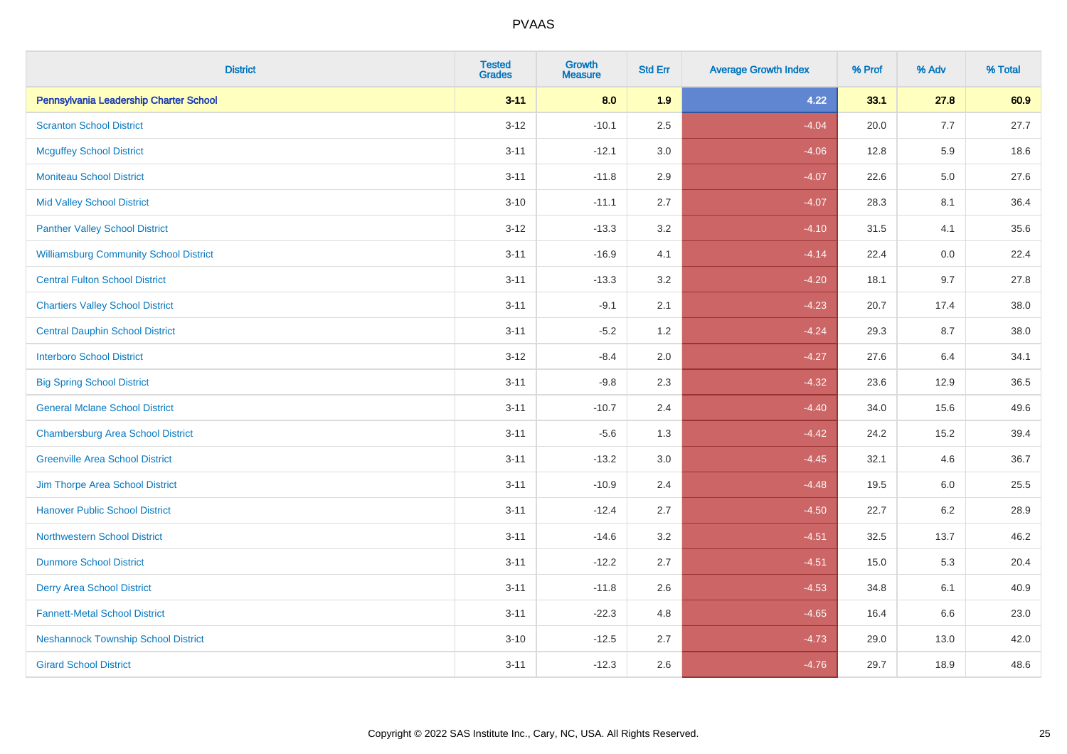| <b>District</b>                               | <b>Tested</b><br><b>Grades</b> | <b>Growth</b><br><b>Measure</b> | <b>Std Err</b> | <b>Average Growth Index</b> | % Prof | % Adv   | % Total |
|-----------------------------------------------|--------------------------------|---------------------------------|----------------|-----------------------------|--------|---------|---------|
| Pennsylvania Leadership Charter School        | $3 - 11$                       | 8.0                             | 1.9            | 4.22                        | 33.1   | 27.8    | 60.9    |
| <b>Scranton School District</b>               | $3 - 12$                       | $-10.1$                         | 2.5            | $-4.04$                     | 20.0   | 7.7     | 27.7    |
| <b>Mcguffey School District</b>               | $3 - 11$                       | $-12.1$                         | 3.0            | $-4.06$                     | 12.8   | 5.9     | 18.6    |
| <b>Moniteau School District</b>               | $3 - 11$                       | $-11.8$                         | 2.9            | $-4.07$                     | 22.6   | $5.0\,$ | 27.6    |
| <b>Mid Valley School District</b>             | $3 - 10$                       | $-11.1$                         | 2.7            | $-4.07$                     | 28.3   | 8.1     | 36.4    |
| <b>Panther Valley School District</b>         | $3-12$                         | $-13.3$                         | 3.2            | $-4.10$                     | 31.5   | 4.1     | 35.6    |
| <b>Williamsburg Community School District</b> | $3 - 11$                       | $-16.9$                         | 4.1            | $-4.14$                     | 22.4   | 0.0     | 22.4    |
| <b>Central Fulton School District</b>         | $3 - 11$                       | $-13.3$                         | 3.2            | $-4.20$                     | 18.1   | 9.7     | 27.8    |
| <b>Chartiers Valley School District</b>       | $3 - 11$                       | $-9.1$                          | 2.1            | $-4.23$                     | 20.7   | 17.4    | 38.0    |
| <b>Central Dauphin School District</b>        | $3 - 11$                       | $-5.2$                          | 1.2            | $-4.24$                     | 29.3   | 8.7     | 38.0    |
| <b>Interboro School District</b>              | $3 - 12$                       | $-8.4$                          | 2.0            | $-4.27$                     | 27.6   | 6.4     | 34.1    |
| <b>Big Spring School District</b>             | $3 - 11$                       | $-9.8$                          | 2.3            | $-4.32$                     | 23.6   | 12.9    | 36.5    |
| <b>General Mclane School District</b>         | $3 - 11$                       | $-10.7$                         | 2.4            | $-4.40$                     | 34.0   | 15.6    | 49.6    |
| <b>Chambersburg Area School District</b>      | $3 - 11$                       | $-5.6$                          | 1.3            | $-4.42$                     | 24.2   | 15.2    | 39.4    |
| <b>Greenville Area School District</b>        | $3 - 11$                       | $-13.2$                         | 3.0            | $-4.45$                     | 32.1   | 4.6     | 36.7    |
| Jim Thorpe Area School District               | $3 - 11$                       | $-10.9$                         | 2.4            | $-4.48$                     | 19.5   | 6.0     | 25.5    |
| <b>Hanover Public School District</b>         | $3 - 11$                       | $-12.4$                         | 2.7            | $-4.50$                     | 22.7   | $6.2\,$ | 28.9    |
| <b>Northwestern School District</b>           | $3 - 11$                       | $-14.6$                         | 3.2            | $-4.51$                     | 32.5   | 13.7    | 46.2    |
| <b>Dunmore School District</b>                | $3 - 11$                       | $-12.2$                         | 2.7            | $-4.51$                     | 15.0   | 5.3     | 20.4    |
| <b>Derry Area School District</b>             | $3 - 11$                       | $-11.8$                         | 2.6            | $-4.53$                     | 34.8   | 6.1     | 40.9    |
| <b>Fannett-Metal School District</b>          | $3 - 11$                       | $-22.3$                         | 4.8            | $-4.65$                     | 16.4   | 6.6     | 23.0    |
| <b>Neshannock Township School District</b>    | $3 - 10$                       | $-12.5$                         | 2.7            | $-4.73$                     | 29.0   | 13.0    | 42.0    |
| <b>Girard School District</b>                 | $3 - 11$                       | $-12.3$                         | 2.6            | $-4.76$                     | 29.7   | 18.9    | 48.6    |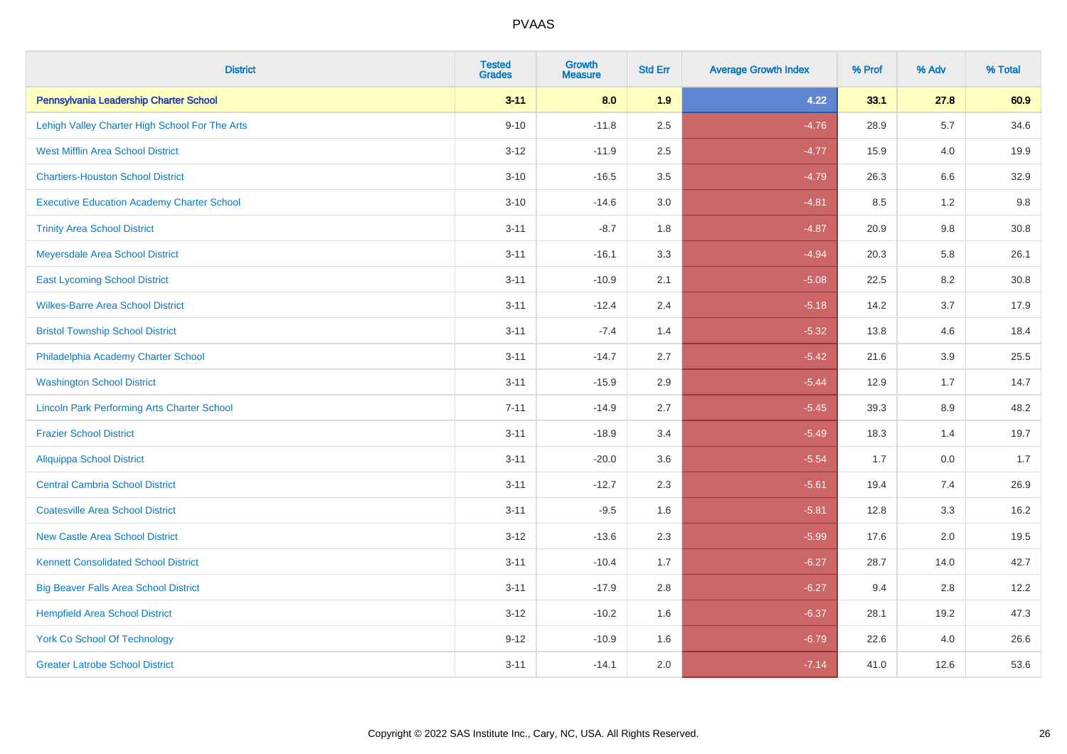| <b>District</b>                                    | <b>Tested</b><br><b>Grades</b> | <b>Growth</b><br><b>Measure</b> | <b>Std Err</b> | <b>Average Growth Index</b> | % Prof | % Adv   | % Total |
|----------------------------------------------------|--------------------------------|---------------------------------|----------------|-----------------------------|--------|---------|---------|
| Pennsylvania Leadership Charter School             | $3 - 11$                       | 8.0                             | 1.9            | 4.22                        | 33.1   | 27.8    | 60.9    |
| Lehigh Valley Charter High School For The Arts     | $9 - 10$                       | $-11.8$                         | 2.5            | $-4.76$                     | 28.9   | 5.7     | 34.6    |
| <b>West Mifflin Area School District</b>           | $3 - 12$                       | $-11.9$                         | 2.5            | $-4.77$                     | 15.9   | 4.0     | 19.9    |
| <b>Chartiers-Houston School District</b>           | $3 - 10$                       | $-16.5$                         | 3.5            | $-4.79$                     | 26.3   | $6.6\,$ | 32.9    |
| <b>Executive Education Academy Charter School</b>  | $3 - 10$                       | $-14.6$                         | 3.0            | $-4.81$                     | 8.5    | 1.2     | 9.8     |
| <b>Trinity Area School District</b>                | $3 - 11$                       | $-8.7$                          | 1.8            | $-4.87$                     | 20.9   | $9.8\,$ | 30.8    |
| Meyersdale Area School District                    | $3 - 11$                       | $-16.1$                         | 3.3            | $-4.94$                     | 20.3   | 5.8     | 26.1    |
| <b>East Lycoming School District</b>               | $3 - 11$                       | $-10.9$                         | 2.1            | $-5.08$                     | 22.5   | 8.2     | 30.8    |
| <b>Wilkes-Barre Area School District</b>           | $3 - 11$                       | $-12.4$                         | 2.4            | $-5.18$                     | 14.2   | 3.7     | 17.9    |
| <b>Bristol Township School District</b>            | $3 - 11$                       | $-7.4$                          | 1.4            | $-5.32$                     | 13.8   | 4.6     | 18.4    |
| Philadelphia Academy Charter School                | $3 - 11$                       | $-14.7$                         | 2.7            | $-5.42$                     | 21.6   | 3.9     | 25.5    |
| <b>Washington School District</b>                  | $3 - 11$                       | $-15.9$                         | 2.9            | $-5.44$                     | 12.9   | 1.7     | 14.7    |
| <b>Lincoln Park Performing Arts Charter School</b> | $7 - 11$                       | $-14.9$                         | 2.7            | $-5.45$                     | 39.3   | $8.9\,$ | 48.2    |
| <b>Frazier School District</b>                     | $3 - 11$                       | $-18.9$                         | 3.4            | $-5.49$                     | 18.3   | 1.4     | 19.7    |
| <b>Aliquippa School District</b>                   | $3 - 11$                       | $-20.0$                         | 3.6            | $-5.54$                     | 1.7    | 0.0     | 1.7     |
| <b>Central Cambria School District</b>             | $3 - 11$                       | $-12.7$                         | 2.3            | $-5.61$                     | 19.4   | 7.4     | 26.9    |
| <b>Coatesville Area School District</b>            | $3 - 11$                       | $-9.5$                          | 1.6            | $-5.81$                     | 12.8   | 3.3     | 16.2    |
| <b>New Castle Area School District</b>             | $3 - 12$                       | $-13.6$                         | 2.3            | $-5.99$                     | 17.6   | 2.0     | 19.5    |
| <b>Kennett Consolidated School District</b>        | $3 - 11$                       | $-10.4$                         | 1.7            | $-6.27$                     | 28.7   | 14.0    | 42.7    |
| <b>Big Beaver Falls Area School District</b>       | $3 - 11$                       | $-17.9$                         | 2.8            | $-6.27$                     | 9.4    | 2.8     | 12.2    |
| <b>Hempfield Area School District</b>              | $3 - 12$                       | $-10.2$                         | 1.6            | $-6.37$                     | 28.1   | 19.2    | 47.3    |
| York Co School Of Technology                       | $9 - 12$                       | $-10.9$                         | 1.6            | $-6.79$                     | 22.6   | 4.0     | 26.6    |
| <b>Greater Latrobe School District</b>             | $3 - 11$                       | $-14.1$                         | 2.0            | $-7.14$                     | 41.0   | 12.6    | 53.6    |